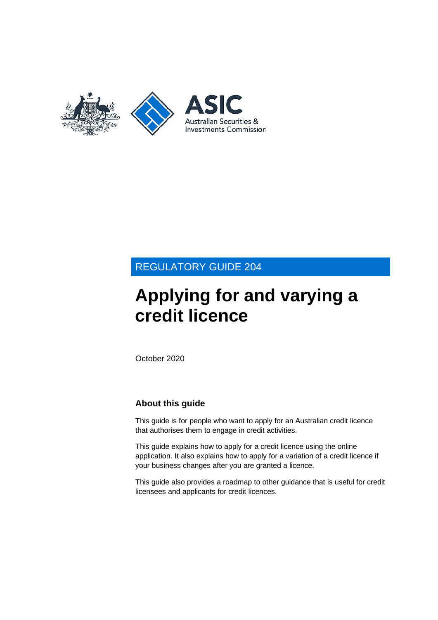

# REGULATORY GUIDE 204

# **Applying for and varying a credit licence**

October 2020

# **About this guide**

This guide is for people who want to apply for an Australian credit licence that authorises them to engage in credit activities.

This guide explains how to apply for a credit licence using the online application. It also explains how to apply for a variation of a credit licence if your business changes after you are granted a licence.

This guide also provides a roadmap to other guidance that is useful for credit licensees and applicants for credit licences.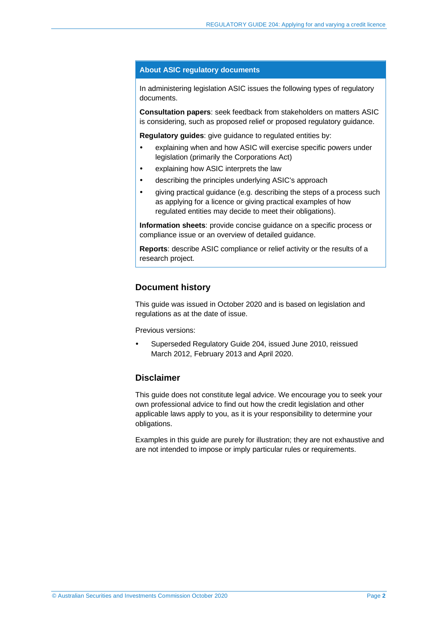#### **About ASIC regulatory documents**

In administering legislation ASIC issues the following types of regulatory documents.

**Consultation papers**: seek feedback from stakeholders on matters ASIC is considering, such as proposed relief or proposed regulatory guidance.

**Regulatory guides**: give guidance to regulated entities by:

- explaining when and how ASIC will exercise specific powers under legislation (primarily the Corporations Act)
- explaining how ASIC interprets the law
- describing the principles underlying ASIC's approach
- giving practical guidance (e.g. describing the steps of a process such as applying for a licence or giving practical examples of how regulated entities may decide to meet their obligations).

**Information sheets**: provide concise guidance on a specific process or compliance issue or an overview of detailed guidance.

**Reports**: describe ASIC compliance or relief activity or the results of a research project.

### **Document history**

This guide was issued in October 2020 and is based on legislation and regulations as at the date of issue.

Previous versions:

 Superseded Regulatory Guide 204, issued June 2010, reissued March 2012, February 2013 and April 2020.

### **Disclaimer**

This guide does not constitute legal advice. We encourage you to seek your own professional advice to find out how the credit legislation and other applicable laws apply to you, as it is your responsibility to determine your obligations.

Examples in this guide are purely for illustration; they are not exhaustive and are not intended to impose or imply particular rules or requirements.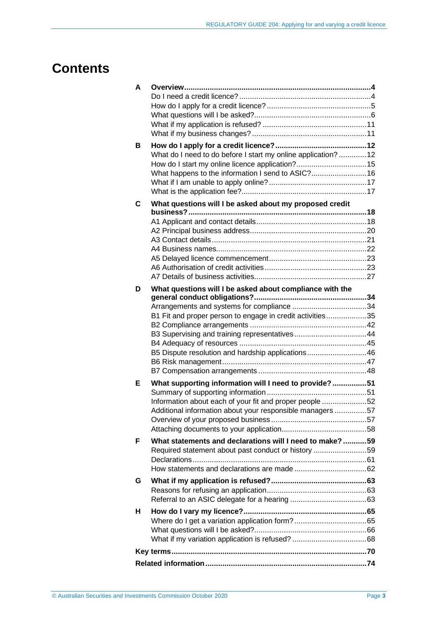# **Contents**

| A |                                                                                                                                                                                                                             |
|---|-----------------------------------------------------------------------------------------------------------------------------------------------------------------------------------------------------------------------------|
| В | What do I need to do before I start my online application?  12<br>What happens to the information I send to ASIC? 16                                                                                                        |
| C | What questions will I be asked about my proposed credit                                                                                                                                                                     |
| D | What questions will I be asked about compliance with the<br>B1 Fit and proper person to engage in credit activities35<br>B3 Supervising and training representatives44<br>B5 Dispute resolution and hardship applications46 |
| Е | What supporting information will I need to provide?51<br>Information about each of your fit and proper people 52<br>Additional information about your responsible managers 57                                               |
| F | What statements and declarations will I need to make? 59<br>Required statement about past conduct or history 59                                                                                                             |
| G |                                                                                                                                                                                                                             |
| н |                                                                                                                                                                                                                             |
|   |                                                                                                                                                                                                                             |
|   |                                                                                                                                                                                                                             |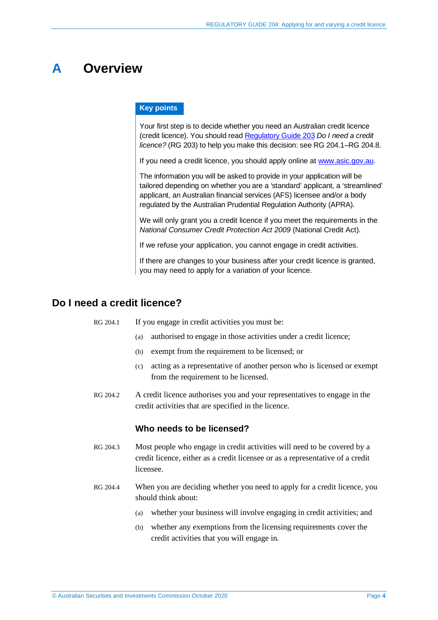# <span id="page-3-0"></span>**A Overview**

#### **Key points**

Your first step is to decide whether you need an Australian credit licence (credit licence). You should rea[d Regulatory Guide 203](https://asic.gov.au/regulatory-resources/find-a-document/regulatory-guides/rg-203-do-i-need-a-credit-licence/) *Do I need a credit licence?* (RG 203) to help you make this decision: see RG [204.1–](#page-3-2)RG [204.8.](#page-4-1)

If you need a credit licence, you should apply online at [www.asic.gov.au.](http://www.asic.gov.au/)

The information you will be asked to provide in your application will be tailored depending on whether you are a 'standard' applicant, a 'streamlined' applicant, an Australian financial services (AFS) licensee and/or a body regulated by the Australian Prudential Regulation Authority (APRA).

We will only grant you a credit licence if you meet the requirements in the *National Consumer Credit Protection Act 2009* (National Credit Act).

If we refuse your application, you cannot engage in credit activities.

If there are changes to your business after your credit licence is granted, you may need to apply for a variation of your licence.

# <span id="page-3-2"></span><span id="page-3-1"></span>**Do I need a credit licence?**

RG 204.1 If you engage in credit activities you must be:

- (a) authorised to engage in those activities under a credit licence;
- (b) exempt from the requirement to be licensed; or
- (c) acting as a representative of another person who is licensed or exempt from the requirement to be licensed.
- RG 204.2 A credit licence authorises you and your representatives to engage in the credit activities that are specified in the licence.

#### **Who needs to be licensed?**

- RG 204.3 Most people who engage in credit activities will need to be covered by a credit licence, either as a credit licensee or as a representative of a credit licensee.
- RG 204.4 When you are deciding whether you need to apply for a credit licence, you should think about:
	- (a) whether your business will involve engaging in credit activities; and
	- (b) whether any exemptions from the licensing requirements cover the credit activities that you will engage in.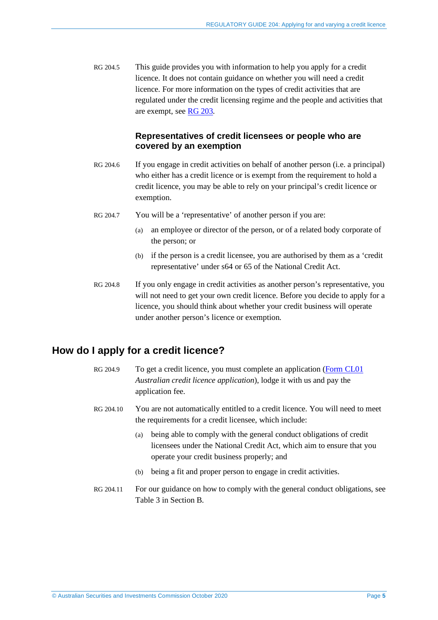RG 204.5 This guide provides you with information to help you apply for a credit licence. It does not contain guidance on whether you will need a credit licence. For more information on the types of credit activities that are regulated under the credit licensing regime and the people and activities that are exempt, see [RG 203.](https://asic.gov.au/regulatory-resources/find-a-document/regulatory-guides/rg-203-do-i-need-a-credit-licence/)

## **Representatives of credit licensees or people who are covered by an exemption**

- RG 204.6 If you engage in credit activities on behalf of another person (i.e. a principal) who either has a credit licence or is exempt from the requirement to hold a credit licence, you may be able to rely on your principal's credit licence or exemption.
- RG 204.7 You will be a 'representative' of another person if you are:
	- (a) an employee or director of the person, or of a related body corporate of the person; or
	- (b) if the person is a credit licensee, you are authorised by them as a 'credit representative' under s64 or 65 of the National Credit Act.
- <span id="page-4-1"></span>RG 204.8 If you only engage in credit activities as another person's representative, you will not need to get your own credit licence. Before you decide to apply for a licence, you should think about whether your credit business will operate under another person's licence or exemption.

# <span id="page-4-0"></span>**How do I apply for a credit licence?**

- RG 204.9 To get a credit licence, you must complete an application [\(Form CL01](https://asic.gov.au/regulatory-resources/forms/forms-folder/cl01-australian-credit-licence-application/) *Australian credit licence application*), lodge it with us and pay the application fee.
- RG 204.10 You are not automatically entitled to a credit licence. You will need to meet the requirements for a credit licensee, which include:
	- (a) being able to comply with the general conduct obligations of credit licensees under the National Credit Act, which aim to ensure that you operate your credit business properly; and
	- (b) being a fit and proper person to engage in credit activities.
- RG 204.11 For our guidance on how to comply with the general conduct obligations, see [Table 3](#page-13-0) in Section [B.](#page-11-0)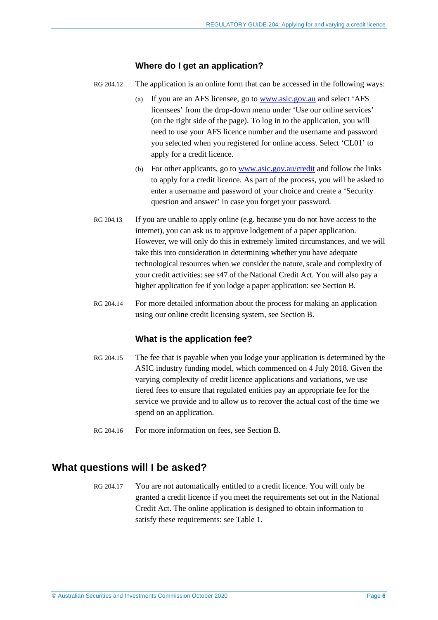### **Where do I get an application?**

- RG 204.12 The application is an online form that can be accessed in the following ways:
	- (a) If you are an AFS licensee, go to [www.asic.gov.au](http://www.asic.gov.au/) and select 'AFS licensees' from the drop-down menu under 'Use our online services' (on the right side of the page). To log in to the application, you will need to use your AFS licence number and the username and password you selected when you registered for online access. Select 'CL01' to apply for a credit licence.
	- (b) For other applicants, go to [www.asic.gov.au/credit](http://www.asic.gov.au/credit) and follow the links to apply for a credit licence. As part of the process, you will be asked to enter a username and password of your choice and create a 'Security question and answer' in case you forget your password.
- RG 204.13 If you are unable to apply online (e.g. because you do not have access to the internet), you can ask us to approve lodgement of a paper application. However, we will only do this in extremely limited circumstances, and we will take this into consideration in determining whether you have adequate technological resources when we consider the nature, scale and complexity of your credit activities: see s47 of the National Credit Act. You will also pay a higher application fee if you lodge a paper application: see Section [B.](#page-11-0)
- RG 204.14 For more detailed information about the process for making an application using our online credit licensing system, see Section [B.](#page-11-0)

# **What is the application fee?**

- RG 204.15 The fee that is payable when you lodge your application is determined by the ASIC industry funding model, which commenced on 4 July 2018. Given the varying complexity of credit licence applications and variations, we use tiered fees to ensure that regulated entities pay an appropriate fee for the service we provide and to allow us to recover the actual cost of the time we spend on an application.
- RG 204.16 For more information on fees, see Section [B.](#page-11-0)

# <span id="page-5-0"></span>**What questions will I be asked?**

RG 204.17 You are not automatically entitled to a credit licence. You will only be granted a credit licence if you meet the requirements set out in the National Credit Act. The online application is designed to obtain information to satisfy these requirements: see [Table 1.](#page-6-0)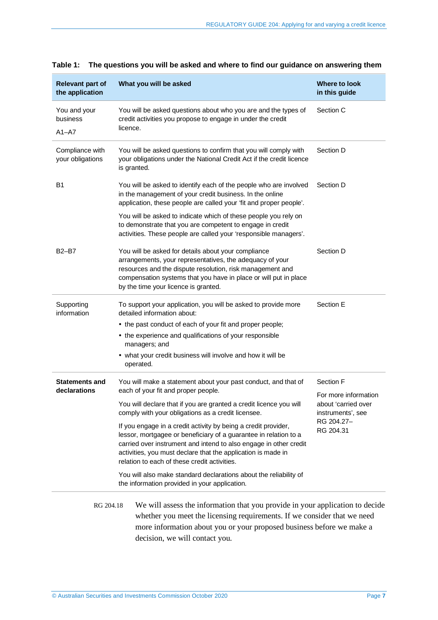| <b>Relevant part of</b><br>the application | What you will be asked                                                                                                                                                                                                                                                                                                  | <b>Where to look</b><br>in this guide                            |
|--------------------------------------------|-------------------------------------------------------------------------------------------------------------------------------------------------------------------------------------------------------------------------------------------------------------------------------------------------------------------------|------------------------------------------------------------------|
| You and your<br>business<br>$A1 - A7$      | You will be asked questions about who you are and the types of<br>credit activities you propose to engage in under the credit<br>licence.                                                                                                                                                                               | Section C                                                        |
| Compliance with<br>your obligations        | You will be asked questions to confirm that you will comply with<br>your obligations under the National Credit Act if the credit licence<br>is granted.                                                                                                                                                                 | Section D                                                        |
| <b>B1</b>                                  | You will be asked to identify each of the people who are involved<br>in the management of your credit business. In the online<br>application, these people are called your 'fit and proper people'.                                                                                                                     | Section D                                                        |
|                                            | You will be asked to indicate which of these people you rely on<br>to demonstrate that you are competent to engage in credit<br>activities. These people are called your 'responsible managers'.                                                                                                                        |                                                                  |
| <b>B2-B7</b>                               | You will be asked for details about your compliance<br>arrangements, your representatives, the adequacy of your<br>resources and the dispute resolution, risk management and<br>compensation systems that you have in place or will put in place<br>by the time your licence is granted.                                | Section D                                                        |
| Supporting<br>information                  | To support your application, you will be asked to provide more<br>detailed information about:                                                                                                                                                                                                                           | Section E                                                        |
|                                            | • the past conduct of each of your fit and proper people;                                                                                                                                                                                                                                                               |                                                                  |
|                                            | • the experience and qualifications of your responsible<br>managers; and                                                                                                                                                                                                                                                |                                                                  |
|                                            | • what your credit business will involve and how it will be<br>operated.                                                                                                                                                                                                                                                |                                                                  |
| <b>Statements and</b><br>declarations      | You will make a statement about your past conduct, and that of<br>each of your fit and proper people.                                                                                                                                                                                                                   | Section F                                                        |
|                                            | You will declare that if you are granted a credit licence you will<br>comply with your obligations as a credit licensee.                                                                                                                                                                                                | For more information<br>about 'carried over<br>instruments', see |
|                                            | If you engage in a credit activity by being a credit provider,<br>lessor, mortgagee or beneficiary of a guarantee in relation to a<br>carried over instrument and intend to also engage in other credit<br>activities, you must declare that the application is made in<br>relation to each of these credit activities. | RG 204.27-<br>RG 204.31                                          |
|                                            | You will also make standard declarations about the reliability of<br>the information provided in your application.                                                                                                                                                                                                      |                                                                  |
| RG 204.18                                  | We will assess the information that you provide in your application to decide<br>whether you meet the licensing requirements. If we consider that we need<br>more information about you or your proposed business before we make a                                                                                      |                                                                  |

## <span id="page-6-0"></span>**Table 1: The questions you will be asked and where to find our guidance on answering them**

© Australian Securities and Investments Commission October 2020 Page **7**

decision, we will contact you.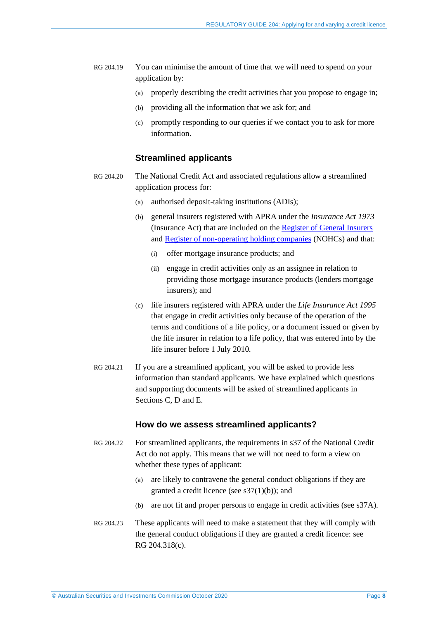- RG 204.19 You can minimise the amount of time that we will need to spend on your application by:
	- (a) properly describing the credit activities that you propose to engage in;
	- (b) providing all the information that we ask for; and
	- (c) promptly responding to our queries if we contact you to ask for more information.

### **Streamlined applicants**

- <span id="page-7-0"></span>RG 204.20 The National Credit Act and associated regulations allow a streamlined application process for:
	- (a) authorised deposit-taking institutions (ADIs);
	- (b) general insurers registered with APRA under the *Insurance Act 1973* (Insurance Act) that are included on the [Register of General Insurers](https://www.apra.gov.au/register-of-general-insurance) and [Register of non-operating holding companies](https://www.apra.gov.au/register-of-non-operating-holding-companies) (NOHCs) and that:
		- (i) offer mortgage insurance products; and
		- (ii) engage in credit activities only as an assignee in relation to providing those mortgage insurance products (lenders mortgage insurers); and
	- (c) life insurers registered with APRA under the *Life Insurance Act 1995* that engage in credit activities only because of the operation of the terms and conditions of a life policy, or a document issued or given by the life insurer in relation to a life policy, that was entered into by the life insurer before 1 July 2010.
- RG 204.21 If you are a streamlined applicant, you will be asked to provide less information than standard applicants. We have explained which questions and supporting documents will be asked of streamlined applicants in Sections [C,](#page-17-0) [D](#page-33-0) and [E.](#page-50-0)

#### **How do we assess streamlined applicants?**

- <span id="page-7-1"></span>RG 204.22 For streamlined applicants, the requirements in s37 of the National Credit Act do not apply. This means that we will not need to form a view on whether these types of applicant:
	- (a) are likely to contravene the general conduct obligations if they are granted a credit licence (see s37(1)(b)); and
	- (b) are not fit and proper persons to engage in credit activities (see s37A).
- <span id="page-7-2"></span>RG 204.23 These applicants will need to make a statement that they will comply with the general conduct obligations if they are granted a credit licence: see [RG 204.318\(c\).](#page-60-1)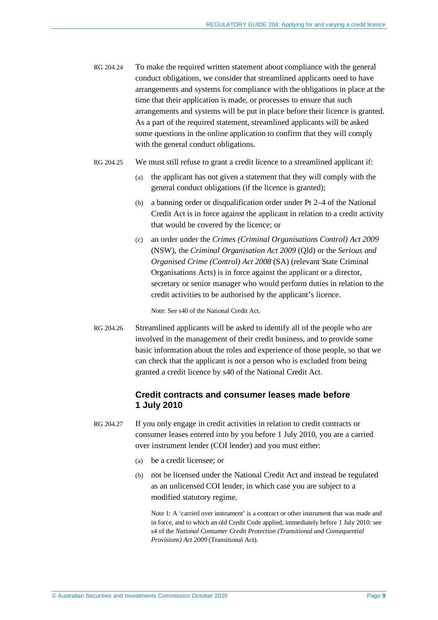- RG 204.24 To make the required written statement about compliance with the general conduct obligations, we consider that streamlined applicants need to have arrangements and systems for compliance with the obligations in place at the time that their application is made, or processes to ensure that such arrangements and systems will be put in place before their licence is granted. As a part of the required statement, streamlined applicants will be asked some questions in the online application to confirm that they will comply with the general conduct obligations.
- RG 204.25 We must still refuse to grant a credit licence to a streamlined applicant if:
	- (a) the applicant has not given a statement that they will comply with the general conduct obligations (if the licence is granted);
	- (b) a banning order or disqualification order under Pt 2–4 of the National Credit Act is in force against the applicant in relation to a credit activity that would be covered by the licence; or
	- (c) an order under the *Crimes (Criminal Organisations Control) Act 2009* (NSW), the *Criminal Organisation Act 2009* (Qld) or the *Serious and Organised Crime (Control) Act 2008* (SA) (relevant State Criminal Organisations Acts) is in force against the applicant or a director, secretary or senior manager who would perform duties in relation to the credit activities to be authorised by the applicant's licence.

Note: See s40 of the National Credit Act.

<span id="page-8-1"></span>RG 204.26 Streamlined applicants will be asked to identify all of the people who are involved in the management of their credit business, and to provide some basic information about the roles and experience of those people, so that we can check that the applicant is not a person who is excluded from being granted a credit licence by s40 of the National Credit Act.

## **Credit contracts and consumer leases made before 1 July 2010**

- <span id="page-8-0"></span>RG 204.27 If you only engage in credit activities in relation to credit contracts or consumer leases entered into by you before 1 July 2010, you are a carried over instrument lender (COI lender) and you must either:
	- (a) be a credit licensee; or
	- (b) not be licensed under the National Credit Act and instead be regulated as an unlicensed COI lender, in which case you are subject to a modified statutory regime.

Note 1: A 'carried over instrument' is a contract or other instrument that was made and in force, and to which an old Credit Code applied, immediately before 1 July 2010: see s4 of the *National Consumer Credit Protection (Transitional and Consequential Provisions) Act 2009* (Transitional Act).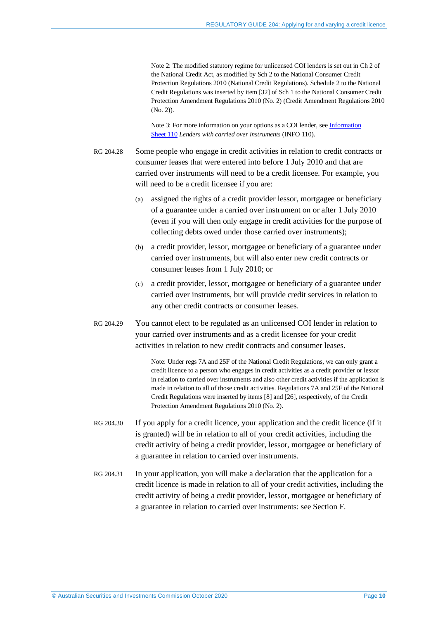Note 2: The modified statutory regime for unlicensed COI lenders is set out in Ch 2 of the National Credit Act, as modified by Sch 2 to the National Consumer Credit Protection Regulations 2010 (National Credit Regulations). Schedule 2 to the National Credit Regulations was inserted by item [32] of Sch 1 to the National Consumer Credit Protection Amendment Regulations 2010 (No. 2) (Credit Amendment Regulations 2010 (No. 2)).

Note 3: For more information on your options as a COI lender, see [Information](https://asic.gov.au/for-finance-professionals/credit-licensees/your-ongoing-credit-licence-obligations/lenders-with-carried-over-instruments/)  [Sheet](https://asic.gov.au/for-finance-professionals/credit-licensees/your-ongoing-credit-licence-obligations/lenders-with-carried-over-instruments/) 110 *Lenders with carried over instruments* (INFO 110).

- RG 204.28 Some people who engage in credit activities in relation to credit contracts or consumer leases that were entered into before 1 July 2010 and that are carried over instruments will need to be a credit licensee. For example, you will need to be a credit licensee if you are:
	- (a) assigned the rights of a credit provider lessor, mortgagee or beneficiary of a guarantee under a carried over instrument on or after 1 July 2010 (even if you will then only engage in credit activities for the purpose of collecting debts owed under those carried over instruments);
	- (b) a credit provider, lessor, mortgagee or beneficiary of a guarantee under carried over instruments, but will also enter new credit contracts or consumer leases from 1 July 2010; or
	- (c) a credit provider, lessor, mortgagee or beneficiary of a guarantee under carried over instruments, but will provide credit services in relation to any other credit contracts or consumer leases.
- RG 204.29 You cannot elect to be regulated as an unlicensed COI lender in relation to your carried over instruments and as a credit licensee for your credit activities in relation to new credit contracts and consumer leases.

Note: Under regs 7A and 25F of the National Credit Regulations, we can only grant a credit licence to a person who engages in credit activities as a credit provider or lessor in relation to carried over instruments and also other credit activities if the application is made in relation to all of those credit activities. Regulations 7A and 25F of the National Credit Regulations were inserted by items [8] and [26], respectively, of the Credit Protection Amendment Regulations 2010 (No. 2).

- RG 204.30 If you apply for a credit licence, your application and the credit licence (if it is granted) will be in relation to all of your credit activities, including the credit activity of being a credit provider, lessor, mortgagee or beneficiary of a guarantee in relation to carried over instruments.
- <span id="page-9-0"></span>RG 204.31 In your application, you will make a declaration that the application for a credit licence is made in relation to all of your credit activities, including the credit activity of being a credit provider, lessor, mortgagee or beneficiary of a guarantee in relation to carried over instruments: see Section [F.](#page-58-0)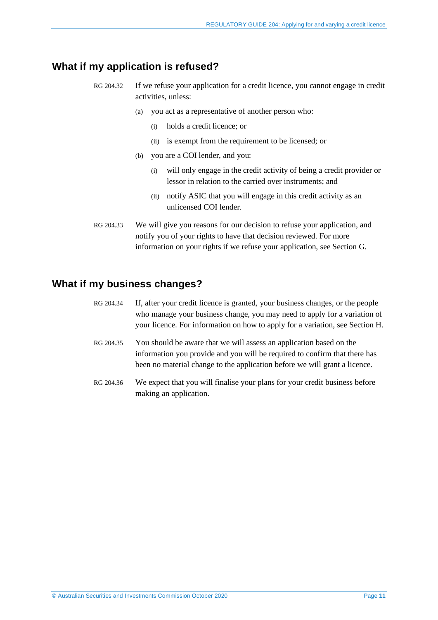# <span id="page-10-0"></span>**What if my application is refused?**

- RG 204.32 If we refuse your application for a credit licence, you cannot engage in credit activities, unless:
	- (a) you act as a representative of another person who:
		- (i) holds a credit licence; or
		- (ii) is exempt from the requirement to be licensed; or
	- (b) you are a COI lender, and you:
		- (i) will only engage in the credit activity of being a credit provider or lessor in relation to the carried over instruments; and
		- (ii) notify ASIC that you will engage in this credit activity as an unlicensed COI lender.
- RG 204.33 We will give you reasons for our decision to refuse your application, and notify you of your rights to have that decision reviewed. For more information on your rights if we refuse your application, see Section [G.](#page-62-0)

# <span id="page-10-1"></span>**What if my business changes?**

- RG 204.34 If, after your credit licence is granted, your business changes, or the people who manage your business change, you may need to apply for a variation of your licence. For information on how to apply for a variation, see Section [H.](#page-64-0)
- RG 204.35 You should be aware that we will assess an application based on the information you provide and you will be required to confirm that there has been no material change to the application before we will grant a licence.
- RG 204.36 We expect that you will finalise your plans for your credit business before making an application.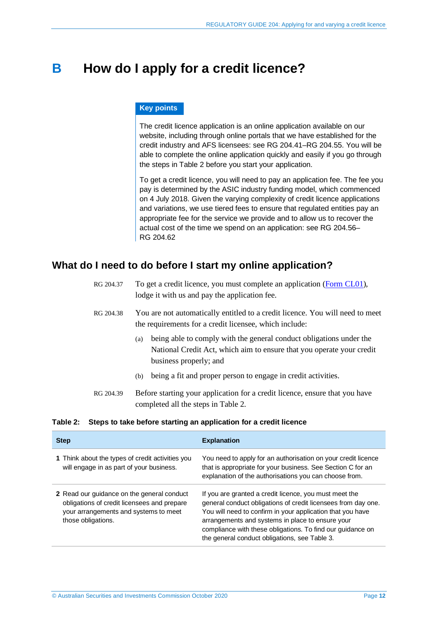# <span id="page-11-0"></span>**B How do I apply for a credit licence?**

#### **Key points**

The credit licence application is an online application available on our website, including through online portals that we have established for the credit industry and AFS licensees: see RG [204.41–](#page-14-1)RG [204.55.](#page-16-2) You will be able to complete the online application quickly and easily if you go through the steps in [Table 2](#page-11-2) before you start your application.

To get a credit licence, you will need to pay an application fee. The fee you pay is determined by the ASIC industry funding model, which commenced on 4 July 2018. Given the varying complexity of credit licence applications and variations, we use tiered fees to ensure that regulated entities pay an appropriate fee for the service we provide and to allow us to recover the actual cost of the time we spend on an application: see RG [204.56–](#page-16-3) RG [204.62](#page-16-4)

# <span id="page-11-1"></span>**What do I need to do before I start my online application?**

| RG 204.37 | To get a credit licence, you must complete an application (Form CL01),<br>lodge it with us and pay the application fee.                                                       |
|-----------|-------------------------------------------------------------------------------------------------------------------------------------------------------------------------------|
| RG 204.38 | You are not automatically entitled to a credit licence. You will need to meet<br>the requirements for a credit licensee, which include:                                       |
|           | being able to comply with the general conduct obligations under the<br>(a)<br>National Credit Act, which aim to ensure that you operate your credit<br>business properly; and |
|           | being a fit and proper person to engage in credit activities.<br>(b)                                                                                                          |
| RG 204.39 | Before starting your application for a credit licence, ensure that you have<br>completed all the steps in Table 2.                                                            |

#### <span id="page-11-2"></span>**Table 2: Steps to take before starting an application for a credit licence**

| <b>Step</b>                                                                                                                                              | <b>Explanation</b>                                                                                                                                                                                                                                                                                                                                       |
|----------------------------------------------------------------------------------------------------------------------------------------------------------|----------------------------------------------------------------------------------------------------------------------------------------------------------------------------------------------------------------------------------------------------------------------------------------------------------------------------------------------------------|
| 1 Think about the types of credit activities you<br>will engage in as part of your business.                                                             | You need to apply for an authorisation on your credit licence<br>that is appropriate for your business. See Section C for an<br>explanation of the authorisations you can choose from.                                                                                                                                                                   |
| 2 Read our guidance on the general conduct<br>obligations of credit licensees and prepare<br>your arrangements and systems to meet<br>those obligations. | If you are granted a credit licence, you must meet the<br>general conduct obligations of credit licensees from day one.<br>You will need to confirm in your application that you have<br>arrangements and systems in place to ensure your<br>compliance with these obligations. To find our guidance on<br>the general conduct obligations, see Table 3. |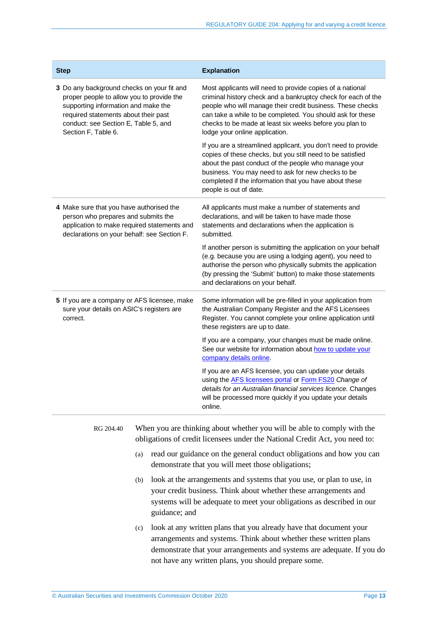| <b>Step</b>                                                                                                                                                                                                                           | <b>Explanation</b>                                                                                                                                                                                                                                                                                                                                  |
|---------------------------------------------------------------------------------------------------------------------------------------------------------------------------------------------------------------------------------------|-----------------------------------------------------------------------------------------------------------------------------------------------------------------------------------------------------------------------------------------------------------------------------------------------------------------------------------------------------|
| 3 Do any background checks on your fit and<br>proper people to allow you to provide the<br>supporting information and make the<br>required statements about their past<br>conduct: see Section E, Table 5, and<br>Section F, Table 6. | Most applicants will need to provide copies of a national<br>criminal history check and a bankruptcy check for each of the<br>people who will manage their credit business. These checks<br>can take a while to be completed. You should ask for these<br>checks to be made at least six weeks before you plan to<br>lodge your online application. |
|                                                                                                                                                                                                                                       | If you are a streamlined applicant, you don't need to provide<br>copies of these checks, but you still need to be satisfied<br>about the past conduct of the people who manage your<br>business. You may need to ask for new checks to be<br>completed if the information that you have about these<br>people is out of date.                       |
| 4 Make sure that you have authorised the<br>person who prepares and submits the<br>application to make required statements and<br>declarations on your behalf: see Section F.                                                         | All applicants must make a number of statements and<br>declarations, and will be taken to have made those<br>statements and declarations when the application is<br>submitted.                                                                                                                                                                      |
|                                                                                                                                                                                                                                       | If another person is submitting the application on your behalf<br>(e.g. because you are using a lodging agent), you need to<br>authorise the person who physically submits the application<br>(by pressing the 'Submit' button) to make those statements<br>and declarations on your behalf.                                                        |
| 5 If you are a company or AFS licensee, make<br>sure your details on ASIC's registers are<br>correct.                                                                                                                                 | Some information will be pre-filled in your application from<br>the Australian Company Register and the AFS Licensees<br>Register. You cannot complete your online application until<br>these registers are up to date.                                                                                                                             |
|                                                                                                                                                                                                                                       | If you are a company, your changes must be made online.<br>See our website for information about how to update your<br>company details online.                                                                                                                                                                                                      |
|                                                                                                                                                                                                                                       | If you are an AFS licensee, you can update your details<br>using the <b>AFS</b> licensees portal or Form FS20 Change of<br>details for an Australian financial services licence. Changes<br>will be processed more quickly if you update your details<br>online.                                                                                    |
|                                                                                                                                                                                                                                       |                                                                                                                                                                                                                                                                                                                                                     |

RG 204.40 When you are thinking about whether you will be able to comply with the obligations of credit licensees under the National Credit Act, you need to:

- (a) read our guidance on the general conduct obligations and how you can demonstrate that you will meet those obligations;
- (b) look at the arrangements and systems that you use, or plan to use, in your credit business. Think about whether these arrangements and systems will be adequate to meet your obligations as described in our guidance; and
- (c) look at any written plans that you already have that document your arrangements and systems. Think about whether these written plans demonstrate that your arrangements and systems are adequate. If you do not have any written plans, you should prepare some.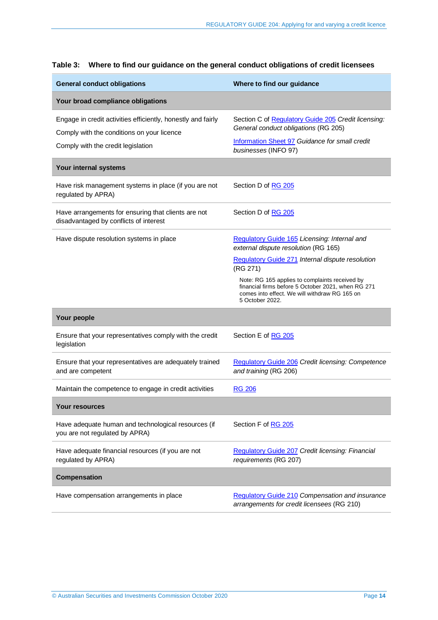| <b>General conduct obligations</b>                                                                         | Where to find our guidance                                                                                                                                               |  |
|------------------------------------------------------------------------------------------------------------|--------------------------------------------------------------------------------------------------------------------------------------------------------------------------|--|
| Your broad compliance obligations                                                                          |                                                                                                                                                                          |  |
| Engage in credit activities efficiently, honestly and fairly<br>Comply with the conditions on your licence | Section C of Regulatory Guide 205 Credit licensing:<br>General conduct obligations (RG 205)                                                                              |  |
| Comply with the credit legislation                                                                         | Information Sheet 97 Guidance for small credit<br>businesses (INFO 97)                                                                                                   |  |
| Your internal systems                                                                                      |                                                                                                                                                                          |  |
| Have risk management systems in place (if you are not<br>regulated by APRA)                                | Section D of RG 205                                                                                                                                                      |  |
| Have arrangements for ensuring that clients are not<br>disadvantaged by conflicts of interest              | Section D of RG 205                                                                                                                                                      |  |
| Have dispute resolution systems in place                                                                   | Regulatory Guide 165 Licensing: Internal and<br>external dispute resolution (RG 165)                                                                                     |  |
|                                                                                                            | Regulatory Guide 271 Internal dispute resolution<br>(RG 271)                                                                                                             |  |
|                                                                                                            | Note: RG 165 applies to complaints received by<br>financial firms before 5 October 2021, when RG 271<br>comes into effect. We will withdraw RG 165 on<br>5 October 2022. |  |
| Your people                                                                                                |                                                                                                                                                                          |  |
| Ensure that your representatives comply with the credit<br>legislation                                     | Section E of RG 205                                                                                                                                                      |  |
| Ensure that your representatives are adequately trained<br>and are competent                               | Regulatory Guide 206 Credit licensing: Competence<br>and training (RG 206)                                                                                               |  |
| Maintain the competence to engage in credit activities                                                     | <b>RG 206</b>                                                                                                                                                            |  |
| Your resources                                                                                             |                                                                                                                                                                          |  |
| Have adequate human and technological resources (if<br>you are not regulated by APRA)                      | Section F of RG 205                                                                                                                                                      |  |
| Have adequate financial resources (if you are not<br>regulated by APRA)                                    | Regulatory Guide 207 Credit licensing: Financial<br>requirements (RG 207)                                                                                                |  |
| <b>Compensation</b>                                                                                        |                                                                                                                                                                          |  |
| Have compensation arrangements in place                                                                    | <b>Regulatory Guide 210 Compensation and insurance</b><br>arrangements for credit licensees (RG 210)                                                                     |  |

#### <span id="page-13-0"></span>**Table 3: Where to find our guidance on the general conduct obligations of credit licensees**

×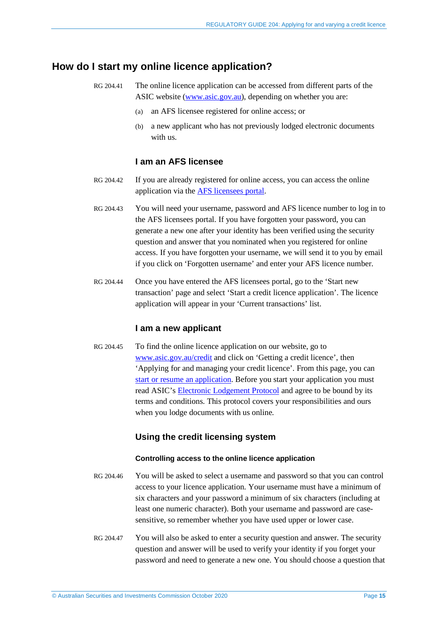# <span id="page-14-1"></span><span id="page-14-0"></span>**How do I start my online licence application?**

- RG 204.41 The online licence application can be accessed from different parts of the ASIC website [\(www.asic.gov.au\)](http://www.asic.gov.au/), depending on whether you are:
	- (a) an AFS licensee registered for online access; or
	- (b) a new applicant who has not previously lodged electronic documents with us.

# **I am an AFS licensee**

- RG 204.42 If you are already registered for online access, you can access the online application via the [AFS licensees portal.](https://asic.gov.au/for-finance-professionals/afs-licensees/changing-details-and-lodging-afs-forms/afs-licensees-portal/)
- RG 204.43 You will need your username, password and AFS licence number to log in to the AFS licensees portal. If you have forgotten your password, you can generate a new one after your identity has been verified using the security question and answer that you nominated when you registered for online access. If you have forgotten your username, we will send it to you by email if you click on 'Forgotten username' and enter your AFS licence number.
- RG 204.44 Once you have entered the AFS licensees portal, go to the 'Start new transaction' page and select 'Start a credit licence application'. The licence application will appear in your 'Current transactions' list.

### **I am a new applicant**

RG 204.45 To find the online licence application on our website, go to [www.asic.gov.au/credit](http://www.asic.gov.au/credit) and click on 'Getting a credit licence', then 'Applying for and managing your credit licence'. From this page, you can [start or resume an application.](https://asic.gov.au/for-finance-professionals/credit-licensees/applying-for-and-managing-your-credit-licence/start-or-resume-credit-licence-application/) Before you start your application you must read ASIC's [Electronic Lodgement Protocol](https://asic.gov.au/online-services/electronic-lodgement-protocol/) and agree to be bound by its terms and conditions. This protocol covers your responsibilities and ours when you lodge documents with us online.

### **Using the credit licensing system**

#### **Controlling access to the online licence application**

- RG 204.46 You will be asked to select a username and password so that you can control access to your licence application. Your username must have a minimum of six characters and your password a minimum of six characters (including at least one numeric character). Both your username and password are casesensitive, so remember whether you have used upper or lower case.
- RG 204.47 You will also be asked to enter a security question and answer. The security question and answer will be used to verify your identity if you forget your password and need to generate a new one. You should choose a question that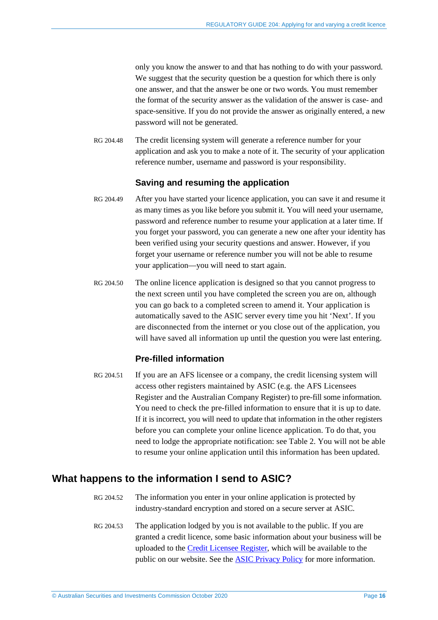only you know the answer to and that has nothing to do with your password. We suggest that the security question be a question for which there is only one answer, and that the answer be one or two words. You must remember the format of the security answer as the validation of the answer is case- and space-sensitive. If you do not provide the answer as originally entered, a new password will not be generated.

RG 204.48 The credit licensing system will generate a reference number for your application and ask you to make a note of it. The security of your application reference number, username and password is your responsibility.

### **Saving and resuming the application**

- RG 204.49 After you have started your licence application, you can save it and resume it as many times as you like before you submit it. You will need your username, password and reference number to resume your application at a later time. If you forget your password, you can generate a new one after your identity has been verified using your security questions and answer. However, if you forget your username or reference number you will not be able to resume your application—you will need to start again.
- RG 204.50 The online licence application is designed so that you cannot progress to the next screen until you have completed the screen you are on, although you can go back to a completed screen to amend it. Your application is automatically saved to the ASIC server every time you hit 'Next'. If you are disconnected from the internet or you close out of the application, you will have saved all information up until the question you were last entering.

# **Pre-filled information**

RG 204.51 If you are an AFS licensee or a company, the credit licensing system will access other registers maintained by ASIC (e.g. the AFS Licensees Register and the Australian Company Register) to pre-fill some information. You need to check the pre-filled information to ensure that it is up to date. If it is incorrect, you will need to update that information in the other registers before you can complete your online licence application. To do that, you need to lodge the appropriate notification: see [Table 2.](#page-11-2) You will not be able to resume your online application until this information has been updated.

# <span id="page-15-0"></span>**What happens to the information I send to ASIC?**

- RG 204.52 The information you enter in your online application is protected by industry-standard encryption and stored on a secure server at ASIC.
- RG 204.53 The application lodged by you is not available to the public. If you are granted a credit licence, some basic information about your business will be uploaded to the [Credit Licensee Register,](https://asic.gov.au/online-services/search-asics-registers/) which will be available to the public on our website. See the **ASIC Privacy Policy** for more information.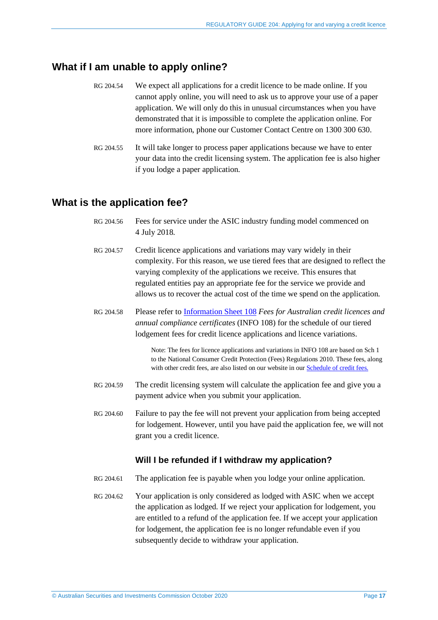# <span id="page-16-0"></span>**What if I am unable to apply online?**

- RG 204.54 We expect all applications for a credit licence to be made online. If you cannot apply online, you will need to ask us to approve your use of a paper application. We will only do this in unusual circumstances when you have demonstrated that it is impossible to complete the application online. For more information, phone our Customer Contact Centre on 1300 300 630.
- <span id="page-16-2"></span>RG 204.55 It will take longer to process paper applications because we have to enter your data into the credit licensing system. The application fee is also higher if you lodge a paper application.

# <span id="page-16-3"></span><span id="page-16-1"></span>**What is the application fee?**

- RG 204.56 Fees for service under the ASIC industry funding model commenced on 4 July 2018.
- RG 204.57 Credit licence applications and variations may vary widely in their complexity. For this reason, we use tiered fees that are designed to reflect the varying complexity of the applications we receive. This ensures that regulated entities pay an appropriate fee for the service we provide and allows us to recover the actual cost of the time we spend on the application.
- RG 204.58 Please refer to [Information Sheet 108](https://asic.gov.au/for-finance-professionals/credit-licensees/applying-for-and-managing-your-credit-licence/fees-for-australian-credit-licences-and-annual-compliance-certificates/) *Fees for Australian credit licences and annual compliance certificates* (INFO 108) for the schedule of our tiered lodgement fees for credit licence applications and licence variations.

Note: The fees for licence applications and variations in INFO 108 are based on Sch 1 to the National Consumer Credit Protection (Fees) Regulations 2010. These fees, along with other credit fees, are also listed on our website in ou[r Schedule of credit fees.](https://asic.gov.au/for-business/payments-fees-and-invoices/asic-fees/schedule-of-credit-fees/)

- RG 204.59 The credit licensing system will calculate the application fee and give you a payment advice when you submit your application.
- <span id="page-16-5"></span>RG 204.60 Failure to pay the fee will not prevent your application from being accepted for lodgement. However, until you have paid the application fee, we will not grant you a credit licence.

# **Will I be refunded if I withdraw my application?**

- <span id="page-16-4"></span>RG 204.61 The application fee is payable when you lodge your online application.
- RG 204.62 Your application is only considered as lodged with ASIC when we accept the application as lodged. If we reject your application for lodgement, you are entitled to a refund of the application fee. If we accept your application for lodgement, the application fee is no longer refundable even if you subsequently decide to withdraw your application.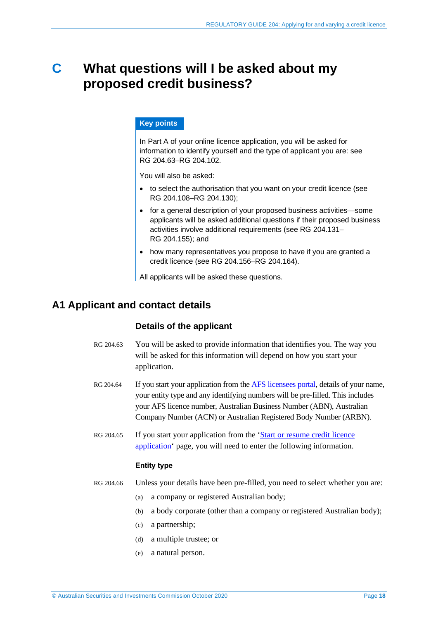# <span id="page-17-0"></span>**C What questions will I be asked about my proposed credit business?**

#### **Key points**

In Part A of your online licence application, you will be asked for information to identify yourself and the type of applicant you are: see RG [204.63–](#page-17-2)RG [204.102.](#page-21-1)

You will also be asked:

- to select the authorisation that you want on your credit licence (see RG [204.108–](#page-22-2)RG [204.130\)](#page-26-1);
- for a general description of your proposed business activities—some applicants will be asked additional questions if their proposed business activities involve additional requirements (see RG [204.131–](#page-26-2) RG [204.155\)](#page-30-0); and
- how many representatives you propose to have if you are granted a credit licence (see RG [204.156–](#page-31-0)RG [204.164\)](#page-31-1).

All applicants will be asked these questions.

# <span id="page-17-2"></span><span id="page-17-1"></span>**A1 Applicant and contact details**

# **Details of the applicant**

- RG 204.63 You will be asked to provide information that identifies you. The way you will be asked for this information will depend on how you start your application.
- RG 204.64 If you start your application from the [AFS licensees portal,](https://asic.gov.au/for-finance-professionals/afs-licensees/changing-details-and-lodging-afs-forms/afs-licensees-portal/) details of your name, your entity type and any identifying numbers will be pre-filled. This includes your AFS licence number, Australian Business Number (ABN), Australian Company Number (ACN) or Australian Registered Body Number (ARBN).
- RG 204.65 If you start your application from the 'Start or resume credit licence [application'](https://asic.gov.au/for-finance-professionals/credit-licensees/applying-for-and-managing-your-credit-licence/start-or-resume-credit-licence-application/) page, you will need to enter the following information.

#### **Entity type**

- RG 204.66 Unless your details have been pre-filled, you need to select whether you are:
	- (a) a company or registered Australian body;
	- (b) a body corporate (other than a company or registered Australian body);
	- (c) a partnership;
	- (d) a multiple trustee; or
	- (e) a natural person.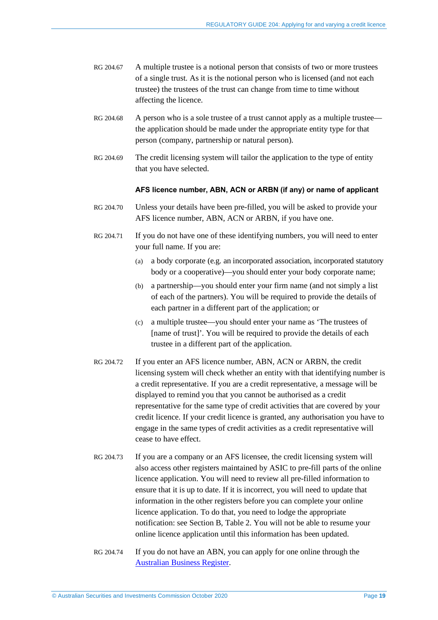- RG 204.67 A multiple trustee is a notional person that consists of two or more trustees of a single trust. As it is the notional person who is licensed (and not each trustee) the trustees of the trust can change from time to time without affecting the licence.
- RG 204.68 A person who is a sole trustee of a trust cannot apply as a multiple trustee the application should be made under the appropriate entity type for that person (company, partnership or natural person).
- RG 204.69 The credit licensing system will tailor the application to the type of entity that you have selected.

#### **AFS licence number, ABN, ACN or ARBN (if any) or name of applicant**

- RG 204.70 Unless your details have been pre-filled, you will be asked to provide your AFS licence number, ABN, ACN or ARBN, if you have one.
- RG 204.71 If you do not have one of these identifying numbers, you will need to enter your full name. If you are:
	- (a) a body corporate (e.g. an incorporated association, incorporated statutory body or a cooperative)—you should enter your body corporate name;
	- (b) a partnership—you should enter your firm name (and not simply a list of each of the partners). You will be required to provide the details of each partner in a different part of the application; or
	- (c) a multiple trustee—you should enter your name as 'The trustees of [name of trust]'. You will be required to provide the details of each trustee in a different part of the application.
- RG 204.72 If you enter an AFS licence number, ABN, ACN or ARBN, the credit licensing system will check whether an entity with that identifying number is a credit representative. If you are a credit representative, a message will be displayed to remind you that you cannot be authorised as a credit representative for the same type of credit activities that are covered by your credit licence. If your credit licence is granted, any authorisation you have to engage in the same types of credit activities as a credit representative will cease to have effect.
- RG 204.73 If you are a company or an AFS licensee, the credit licensing system will also access other registers maintained by ASIC to pre-fill parts of the online licence application. You will need to review all pre-filled information to ensure that it is up to date. If it is incorrect, you will need to update that information in the other registers before you can complete your online licence application. To do that, you need to lodge the appropriate notification: see Section [B,](#page-11-0) [Table 2.](#page-11-2) You will not be able to resume your online licence application until this information has been updated.
- RG 204.74 If you do not have an ABN, you can apply for one online through the [Australian Business Register.](https://www.abr.gov.au/business-super-funds-charities/applying-abn)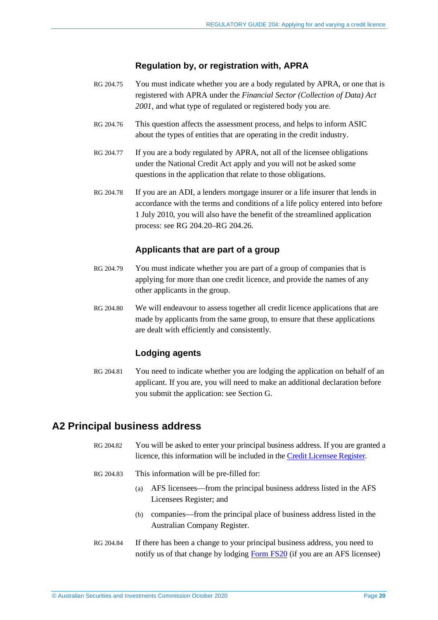## **Regulation by, or registration with, APRA**

- RG 204.75 You must indicate whether you are a body regulated by APRA, or one that is registered with APRA under the *Financial Sector (Collection of Data) Act 2001*, and what type of regulated or registered body you are.
- RG 204.76 This question affects the assessment process, and helps to inform ASIC about the types of entities that are operating in the credit industry.
- RG 204.77 If you are a body regulated by APRA, not all of the licensee obligations under the National Credit Act apply and you will not be asked some questions in the application that relate to those obligations.
- RG 204.78 If you are an ADI, a lenders mortgage insurer or a life insurer that lends in accordance with the terms and conditions of a life policy entered into before 1 July 2010, you will also have the benefit of the streamlined application process: see RG [204.20–](#page-7-0)RG [204.26.](#page-8-1)

## **Applicants that are part of a group**

- RG 204.79 You must indicate whether you are part of a group of companies that is applying for more than one credit licence, and provide the names of any other applicants in the group.
- RG 204.80 We will endeavour to assess together all credit licence applications that are made by applicants from the same group, to ensure that these applications are dealt with efficiently and consistently.

### **Lodging agents**

RG 204.81 You need to indicate whether you are lodging the application on behalf of an applicant. If you are, you will need to make an additional declaration before you submit the application: see Section [G.](#page-62-0)

# <span id="page-19-0"></span>**A2 Principal business address**

- RG 204.82 You will be asked to enter your principal business address. If you are granted a licence, this information will be included in the [Credit Licensee Register.](https://asic.gov.au/online-services/search-asics-registers/)
- RG 204.83 This information will be pre-filled for:
	- (a) AFS licensees—from the principal business address listed in the AFS Licensees Register; and
	- (b) companies—from the principal place of business address listed in the Australian Company Register.
- RG 204.84 If there has been a change to your principal business address, you need to notify us of that change by lodging [Form FS20](https://asic.gov.au/regulatory-resources/forms/forms-folder/fs20-change-of-details-for-an-australian-financial-services-licence/) (if you are an AFS licensee)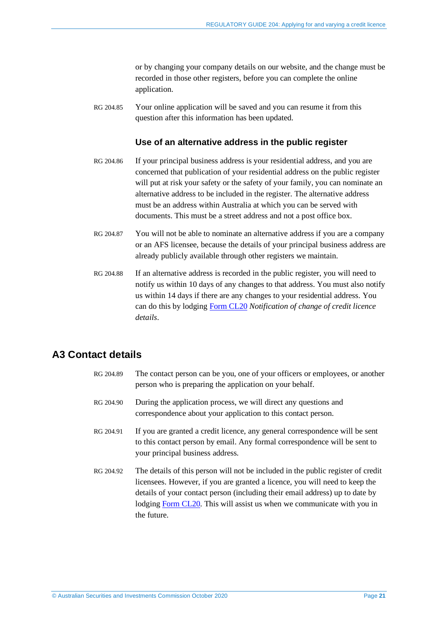or by changing your company details on our website, and the change must be recorded in those other registers, before you can complete the online application.

RG 204.85 Your online application will be saved and you can resume it from this question after this information has been updated.

### **Use of an alternative address in the public register**

- RG 204.86 If your principal business address is your residential address, and you are concerned that publication of your residential address on the public register will put at risk your safety or the safety of your family, you can nominate an alternative address to be included in the register. The alternative address must be an address within Australia at which you can be served with documents. This must be a street address and not a post office box.
- RG 204.87 You will not be able to nominate an alternative address if you are a company or an AFS licensee, because the details of your principal business address are already publicly available through other registers we maintain.
- RG 204.88 If an alternative address is recorded in the public register, you will need to notify us within 10 days of any changes to that address. You must also notify us within 14 days if there are any changes to your residential address. You can do this by lodging [Form CL20](https://asic.gov.au/regulatory-resources/forms/forms-folder/cl20-notification-of-change-of-credit-licence-details/) *Notification of change of credit licence details*.

# <span id="page-20-0"></span>**A3 Contact details**

| RG 204.89 | The contact person can be you, one of your officers or employees, or another<br>person who is preparing the application on your behalf.                                                                                                                                                                                                  |
|-----------|------------------------------------------------------------------------------------------------------------------------------------------------------------------------------------------------------------------------------------------------------------------------------------------------------------------------------------------|
| RG 204.90 | During the application process, we will direct any questions and<br>correspondence about your application to this contact person.                                                                                                                                                                                                        |
| RG 204.91 | If you are granted a credit licence, any general correspondence will be sent<br>to this contact person by email. Any formal correspondence will be sent to<br>your principal business address.                                                                                                                                           |
| RG 204.92 | The details of this person will not be included in the public register of credit<br>licensees. However, if you are granted a licence, you will need to keep the<br>details of your contact person (including their email address) up to date by<br>lodging Form CL20. This will assist us when we communicate with you in<br>the future. |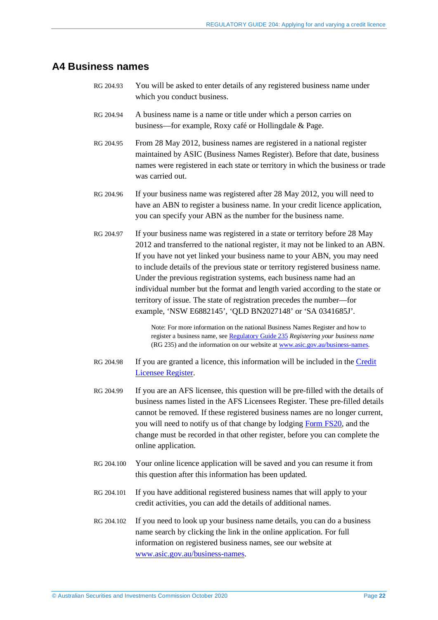# <span id="page-21-0"></span>**A4 Business names**

- RG 204.93 You will be asked to enter details of any registered business name under which you conduct business.
- RG 204.94 A business name is a name or title under which a person carries on business—for example, Roxy café or Hollingdale & Page.
- RG 204.95 From 28 May 2012, business names are registered in a national register maintained by ASIC (Business Names Register). Before that date, business names were registered in each state or territory in which the business or trade was carried out.
- RG 204.96 If your business name was registered after 28 May 2012, you will need to have an ABN to register a business name. In your credit licence application, you can specify your ABN as the number for the business name.
- RG 204.97 If your business name was registered in a state or territory before 28 May 2012 and transferred to the national register, it may not be linked to an ABN. If you have not yet linked your business name to your ABN, you may need to include details of the previous state or territory registered business name. Under the previous registration systems, each business name had an individual number but the format and length varied according to the state or territory of issue. The state of registration precedes the number—for example, 'NSW E6882145', 'QLD BN2027148' or 'SA 0341685J'.

Note: For more information on the national Business Names Register and how to register a business name, se[e Regulatory Guide 235](https://asic.gov.au/regulatory-resources/find-a-document/regulatory-guides/rg-235-registering-your-business-name/) *Registering your business name* (RG 235) and the information on our website at [www.asic.gov.au/business-names.](http://www.asic.gov.au/business-names) 

- RG 204.98 If you are granted a licence, this information will be included in the [Credit](https://asic.gov.au/online-services/search-asics-registers/)  [Licensee Register.](https://asic.gov.au/online-services/search-asics-registers/)
- RG 204.99 If you are an AFS licensee, this question will be pre-filled with the details of business names listed in the AFS Licensees Register. These pre-filled details cannot be removed. If these registered business names are no longer current, you will need to notify us of that change by lodging [Form FS20,](https://asic.gov.au/regulatory-resources/forms/forms-folder/fs20-change-of-details-for-an-australian-financial-services-licence/) and the change must be recorded in that other register, before you can complete the online application.
- RG 204.100 Your online licence application will be saved and you can resume it from this question after this information has been updated.
- RG 204.101 If you have additional registered business names that will apply to your credit activities, you can add the details of additional names.
- <span id="page-21-1"></span>RG 204.102 If you need to look up your business name details, you can do a business name search by clicking the link in the online application. For full information on registered business names, see our website at [www.asic.gov.au/business-names.](http://www.asic.gov.au/business-names)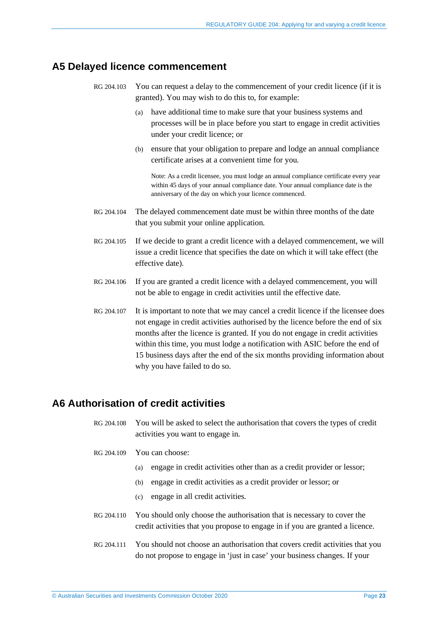# <span id="page-22-0"></span>**A5 Delayed licence commencement**

- RG 204.103 You can request a delay to the commencement of your credit licence (if it is granted). You may wish to do this to, for example:
	- (a) have additional time to make sure that your business systems and processes will be in place before you start to engage in credit activities under your credit licence; or
	- (b) ensure that your obligation to prepare and lodge an annual compliance certificate arises at a convenient time for you.

Note: As a credit licensee, you must lodge an annual compliance certificate every year within 45 days of your annual compliance date. Your annual compliance date is the anniversary of the day on which your licence commenced.

- RG 204.104 The delayed commencement date must be within three months of the date that you submit your online application.
- RG 204.105 If we decide to grant a credit licence with a delayed commencement, we will issue a credit licence that specifies the date on which it will take effect (the effective date).
- RG 204.106 If you are granted a credit licence with a delayed commencement, you will not be able to engage in credit activities until the effective date.
- RG 204.107 It is important to note that we may cancel a credit licence if the licensee does not engage in credit activities authorised by the licence before the end of six months after the licence is granted. If you do not engage in credit activities within this time, you must lodge a notification with ASIC before the end of 15 business days after the end of the six months providing information about why you have failed to do so.

# <span id="page-22-2"></span><span id="page-22-1"></span>**A6 Authorisation of credit activities**

RG 204.108 You will be asked to select the authorisation that covers the types of credit activities you want to engage in.

- RG 204.109 You can choose:
	- (a) engage in credit activities other than as a credit provider or lessor;
	- (b) engage in credit activities as a credit provider or lessor; or
	- (c) engage in all credit activities.
- RG 204.110 You should only choose the authorisation that is necessary to cover the credit activities that you propose to engage in if you are granted a licence.
- RG 204.111 You should not choose an authorisation that covers credit activities that you do not propose to engage in 'just in case' your business changes. If your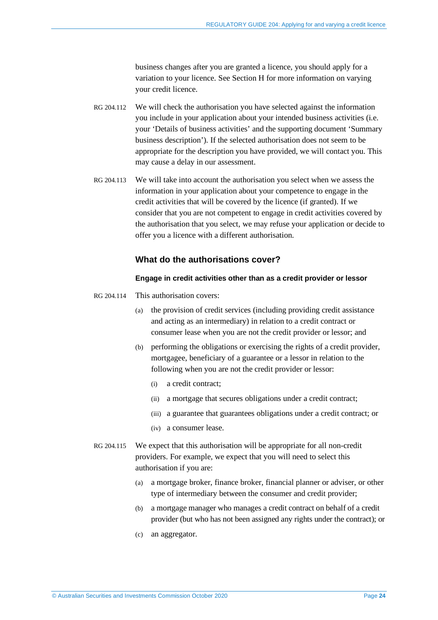business changes after you are granted a licence, you should apply for a variation to your licence. See Section [H](#page-64-0) for more information on varying your credit licence.

- RG 204.112 We will check the authorisation you have selected against the information you include in your application about your intended business activities (i.e. your 'Details of business activities' and the supporting document 'Summary business description'). If the selected authorisation does not seem to be appropriate for the description you have provided, we will contact you. This may cause a delay in our assessment.
- RG 204.113 We will take into account the authorisation you select when we assess the information in your application about your competence to engage in the credit activities that will be covered by the licence (if granted). If we consider that you are not competent to engage in credit activities covered by the authorisation that you select, we may refuse your application or decide to offer you a licence with a different authorisation.

#### **What do the authorisations cover?**

#### **Engage in credit activities other than as a credit provider or lessor**

- RG 204.114 This authorisation covers:
	- (a) the provision of credit services (including providing credit assistance and acting as an intermediary) in relation to a credit contract or consumer lease when you are not the credit provider or lessor; and
	- (b) performing the obligations or exercising the rights of a credit provider, mortgagee, beneficiary of a guarantee or a lessor in relation to the following when you are not the credit provider or lessor:
		- (i) a credit contract;
		- (ii) a mortgage that secures obligations under a credit contract;
		- (iii) a guarantee that guarantees obligations under a credit contract; or
		- (iv) a consumer lease.
- RG 204.115 We expect that this authorisation will be appropriate for all non-credit providers. For example, we expect that you will need to select this authorisation if you are:
	- (a) a mortgage broker, finance broker, financial planner or adviser, or other type of intermediary between the consumer and credit provider;
	- (b) a mortgage manager who manages a credit contract on behalf of a credit provider (but who has not been assigned any rights under the contract); or
	- (c) an aggregator.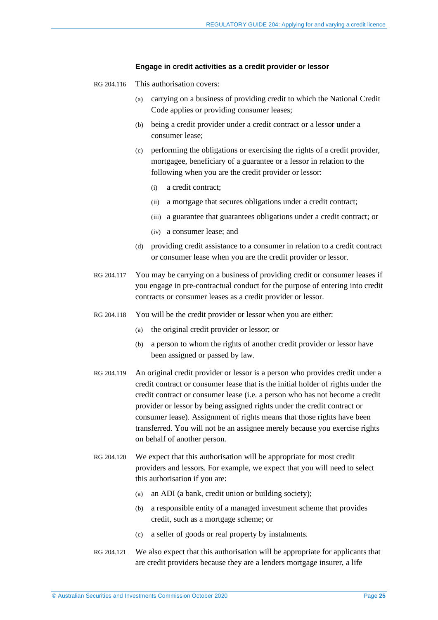#### **Engage in credit activities as a credit provider or lessor**

- RG 204.116 This authorisation covers:
	- (a) carrying on a business of providing credit to which the National Credit Code applies or providing consumer leases;
	- (b) being a credit provider under a credit contract or a lessor under a consumer lease;
	- (c) performing the obligations or exercising the rights of a credit provider, mortgagee, beneficiary of a guarantee or a lessor in relation to the following when you are the credit provider or lessor:
		- (i) a credit contract;
		- (ii) a mortgage that secures obligations under a credit contract;
		- (iii) a guarantee that guarantees obligations under a credit contract; or
		- (iv) a consumer lease; and
	- (d) providing credit assistance to a consumer in relation to a credit contract or consumer lease when you are the credit provider or lessor.
- RG 204.117 You may be carrying on a business of providing credit or consumer leases if you engage in pre-contractual conduct for the purpose of entering into credit contracts or consumer leases as a credit provider or lessor.
- RG 204.118 You will be the credit provider or lessor when you are either:
	- (a) the original credit provider or lessor; or
	- (b) a person to whom the rights of another credit provider or lessor have been assigned or passed by law.
- RG 204.119 An original credit provider or lessor is a person who provides credit under a credit contract or consumer lease that is the initial holder of rights under the credit contract or consumer lease (i.e. a person who has not become a credit provider or lessor by being assigned rights under the credit contract or consumer lease). Assignment of rights means that those rights have been transferred. You will not be an assignee merely because you exercise rights on behalf of another person.
- RG 204.120 We expect that this authorisation will be appropriate for most credit providers and lessors. For example, we expect that you will need to select this authorisation if you are:
	- (a) an ADI (a bank, credit union or building society);
	- (b) a responsible entity of a managed investment scheme that provides credit, such as a mortgage scheme; or
	- (c) a seller of goods or real property by instalments.
- RG 204.121 We also expect that this authorisation will be appropriate for applicants that are credit providers because they are a lenders mortgage insurer, a life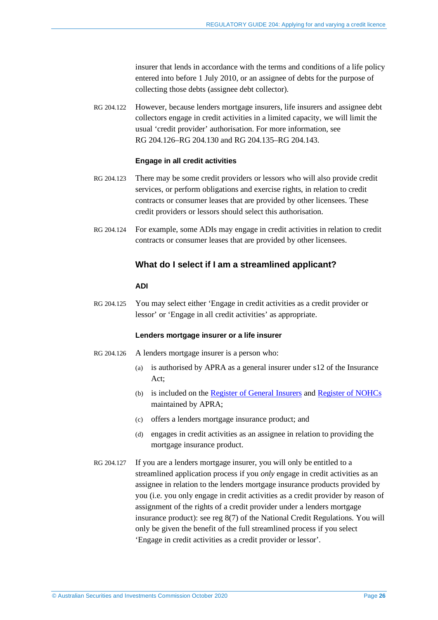insurer that lends in accordance with the terms and conditions of a life policy entered into before 1 July 2010, or an assignee of debts for the purpose of collecting those debts (assignee debt collector).

RG 204.122 However, because lenders mortgage insurers, life insurers and assignee debt collectors engage in credit activities in a limited capacity, we will limit the usual 'credit provider' authorisation. For more information, see RG [204.126–](#page-25-0)RG [204.130](#page-26-1) and RG [204.135–](#page-27-0)RG [204.143.](#page-28-0)

#### **Engage in all credit activities**

- RG 204.123 There may be some credit providers or lessors who will also provide credit services, or perform obligations and exercise rights, in relation to credit contracts or consumer leases that are provided by other licensees. These credit providers or lessors should select this authorisation.
- RG 204.124 For example, some ADIs may engage in credit activities in relation to credit contracts or consumer leases that are provided by other licensees.

#### **What do I select if I am a streamlined applicant?**

#### **ADI**

RG 204.125 You may select either 'Engage in credit activities as a credit provider or lessor' or 'Engage in all credit activities' as appropriate.

#### **Lenders mortgage insurer or a life insurer**

- <span id="page-25-0"></span>RG 204.126 A lenders mortgage insurer is a person who:
	- (a) is authorised by APRA as a general insurer under s12 of the Insurance Act;
	- (b) is included on the [Register of General Insurers](https://www.apra.gov.au/register-of-general-insurance) and [Register of NOHCs](https://www.apra.gov.au/register-of-non-operating-holding-companies) maintained by APRA;
	- (c) offers a lenders mortgage insurance product; and
	- (d) engages in credit activities as an assignee in relation to providing the mortgage insurance product.
- RG 204.127 If you are a lenders mortgage insurer, you will only be entitled to a streamlined application process if you *only* engage in credit activities as an assignee in relation to the lenders mortgage insurance products provided by you (i.e. you only engage in credit activities as a credit provider by reason of assignment of the rights of a credit provider under a lenders mortgage insurance product): see reg 8(7) of the National Credit Regulations. You will only be given the benefit of the full streamlined process if you select 'Engage in credit activities as a credit provider or lessor'.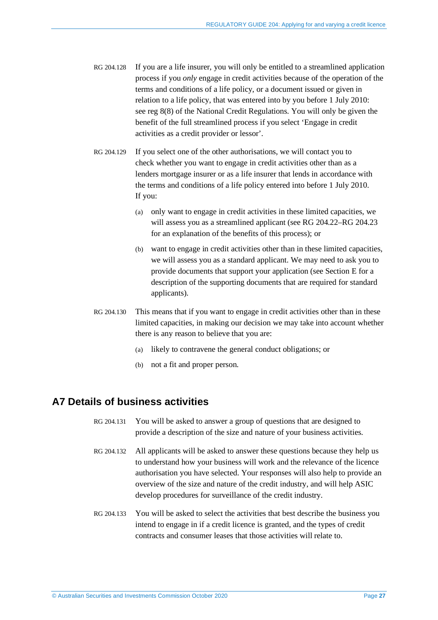- RG 204.128 If you are a life insurer, you will only be entitled to a streamlined application process if you *only* engage in credit activities because of the operation of the terms and conditions of a life policy, or a document issued or given in relation to a life policy, that was entered into by you before 1 July 2010: see reg 8(8) of the National Credit Regulations. You will only be given the benefit of the full streamlined process if you select 'Engage in credit activities as a credit provider or lessor'.
- RG 204.129 If you select one of the other authorisations, we will contact you to check whether you want to engage in credit activities other than as a lenders mortgage insurer or as a life insurer that lends in accordance with the terms and conditions of a life policy entered into before 1 July 2010. If you:
	- (a) only want to engage in credit activities in these limited capacities, we will assess you as a streamlined applicant (see RG [204.22–](#page-7-1)RG [204.23](#page-7-2) for an explanation of the benefits of this process); or
	- (b) want to engage in credit activities other than in these limited capacities, we will assess you as a standard applicant. We may need to ask you to provide documents that support your application (see Section [E](#page-50-0) for a description of the supporting documents that are required for standard applicants).
- <span id="page-26-1"></span>RG 204.130 This means that if you want to engage in credit activities other than in these limited capacities, in making our decision we may take into account whether there is any reason to believe that you are:
	- (a) likely to contravene the general conduct obligations; or
	- (b) not a fit and proper person.

# <span id="page-26-2"></span><span id="page-26-0"></span>**A7 Details of business activities**

- RG 204.131 You will be asked to answer a group of questions that are designed to provide a description of the size and nature of your business activities.
- RG 204.132 All applicants will be asked to answer these questions because they help us to understand how your business will work and the relevance of the licence authorisation you have selected. Your responses will also help to provide an overview of the size and nature of the credit industry, and will help ASIC develop procedures for surveillance of the credit industry.
- RG 204.133 You will be asked to select the activities that best describe the business you intend to engage in if a credit licence is granted, and the types of credit contracts and consumer leases that those activities will relate to.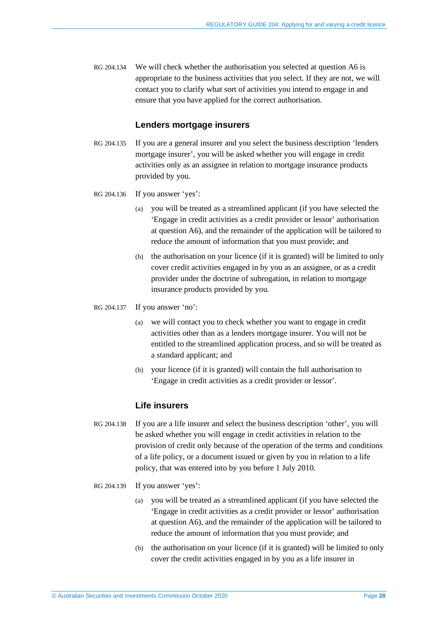RG 204.134 We will check whether the authorisation you selected at question A6 is appropriate to the business activities that you select. If they are not, we will contact you to clarify what sort of activities you intend to engage in and ensure that you have applied for the correct authorisation.

## **Lenders mortgage insurers**

<span id="page-27-0"></span>RG 204.135 If you are a general insurer and you select the business description 'lenders mortgage insurer', you will be asked whether you will engage in credit activities only as an assignee in relation to mortgage insurance products provided by you.

#### RG 204.136 If you answer 'yes':

- (a) you will be treated as a streamlined applicant (if you have selected the 'Engage in credit activities as a credit provider or lessor' authorisation at question A6), and the remainder of the application will be tailored to reduce the amount of information that you must provide; and
- (b) the authorisation on your licence (if it is granted) will be limited to only cover credit activities engaged in by you as an assignee, or as a credit provider under the doctrine of subrogation, in relation to mortgage insurance products provided by you.
- RG 204.137 If you answer 'no':
	- (a) we will contact you to check whether you want to engage in credit activities other than as a lenders mortgage insurer. You will not be entitled to the streamlined application process, and so will be treated as a standard applicant; and
	- (b) your licence (if it is granted) will contain the full authorisation to 'Engage in credit activities as a credit provider or lessor'.

### **Life insurers**

- RG 204.138 If you are a life insurer and select the business description 'other', you will be asked whether you will engage in credit activities in relation to the provision of credit only because of the operation of the terms and conditions of a life policy, or a document issued or given by you in relation to a life policy, that was entered into by you before 1 July 2010.
- RG 204.139 If you answer 'yes':
	- (a) you will be treated as a streamlined applicant (if you have selected the 'Engage in credit activities as a credit provider or lessor' authorisation at question A6), and the remainder of the application will be tailored to reduce the amount of information that you must provide; and
	- (b) the authorisation on your licence (if it is granted) will be limited to only cover the credit activities engaged in by you as a life insurer in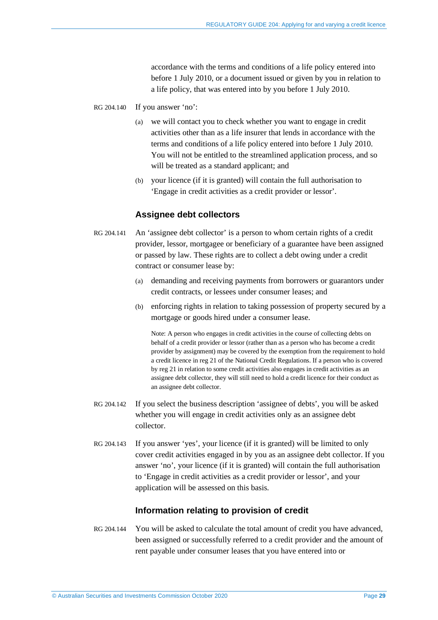accordance with the terms and conditions of a life policy entered into before 1 July 2010, or a document issued or given by you in relation to a life policy, that was entered into by you before 1 July 2010.

- RG 204.140 If you answer 'no':
	- we will contact you to check whether you want to engage in credit activities other than as a life insurer that lends in accordance with the terms and conditions of a life policy entered into before 1 July 2010. You will not be entitled to the streamlined application process, and so will be treated as a standard applicant; and
	- (b) your licence (if it is granted) will contain the full authorisation to 'Engage in credit activities as a credit provider or lessor'.

#### **Assignee debt collectors**

- RG 204.141 An 'assignee debt collector' is a person to whom certain rights of a credit provider, lessor, mortgagee or beneficiary of a guarantee have been assigned or passed by law. These rights are to collect a debt owing under a credit contract or consumer lease by:
	- (a) demanding and receiving payments from borrowers or guarantors under credit contracts, or lessees under consumer leases; and
	- (b) enforcing rights in relation to taking possession of property secured by a mortgage or goods hired under a consumer lease.

Note: A person who engages in credit activities in the course of collecting debts on behalf of a credit provider or lessor (rather than as a person who has become a credit provider by assignment) may be covered by the exemption from the requirement to hold a credit licence in reg 21 of the National Credit Regulations. If a person who is covered by reg 21 in relation to some credit activities also engages in credit activities as an assignee debt collector, they will still need to hold a credit licence for their conduct as an assignee debt collector.

- RG 204.142 If you select the business description 'assignee of debts', you will be asked whether you will engage in credit activities only as an assignee debt collector.
- <span id="page-28-0"></span>RG 204.143 If you answer 'yes', your licence (if it is granted) will be limited to only cover credit activities engaged in by you as an assignee debt collector. If you answer 'no', your licence (if it is granted) will contain the full authorisation to 'Engage in credit activities as a credit provider or lessor', and your application will be assessed on this basis.

### **Information relating to provision of credit**

RG 204.144 You will be asked to calculate the total amount of credit you have advanced, been assigned or successfully referred to a credit provider and the amount of rent payable under consumer leases that you have entered into or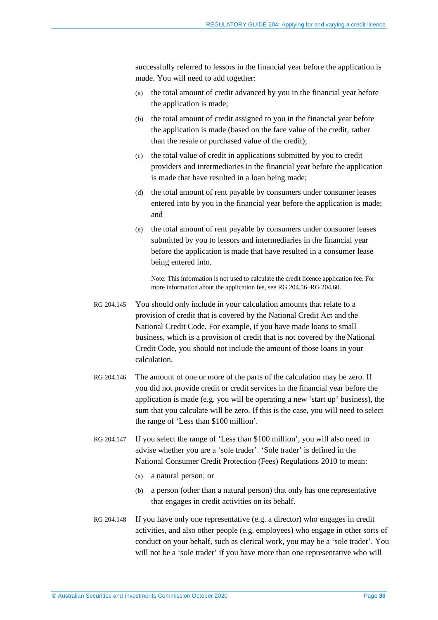successfully referred to lessors in the financial year before the application is made. You will need to add together:

- (a) the total amount of credit advanced by you in the financial year before the application is made;
- (b) the total amount of credit assigned to you in the financial year before the application is made (based on the face value of the credit, rather than the resale or purchased value of the credit);
- (c) the total value of credit in applications submitted by you to credit providers and intermediaries in the financial year before the application is made that have resulted in a loan being made;
- (d) the total amount of rent payable by consumers under consumer leases entered into by you in the financial year before the application is made; and
- (e) the total amount of rent payable by consumers under consumer leases submitted by you to lessors and intermediaries in the financial year before the application is made that have resulted in a consumer lease being entered into.

Note: This information is not used to calculate the credit licence application fee. For more information about the application fee, see RG [204.56–](#page-16-3)RG [204.60.](#page-16-5)

- RG 204.145 You should only include in your calculation amounts that relate to a provision of credit that is covered by the National Credit Act and the National Credit Code. For example, if you have made loans to small business, which is a provision of credit that is not covered by the National Credit Code, you should not include the amount of those loans in your calculation.
- RG 204.146 The amount of one or more of the parts of the calculation may be zero. If you did not provide credit or credit services in the financial year before the application is made (e.g. you will be operating a new 'start up' business), the sum that you calculate will be zero. If this is the case, you will need to select the range of 'Less than \$100 million'.
- RG 204.147 If you select the range of 'Less than \$100 million', you will also need to advise whether you are a 'sole trader'. 'Sole trader' is defined in the National Consumer Credit Protection (Fees) Regulations 2010 to mean:
	- (a) a natural person; or
	- (b) a person (other than a natural person) that only has one representative that engages in credit activities on its behalf.
- RG 204.148 If you have only one representative (e.g. a director) who engages in credit activities, and also other people (e.g. employees) who engage in other sorts of conduct on your behalf, such as clerical work, you may be a 'sole trader'. You will not be a 'sole trader' if you have more than one representative who will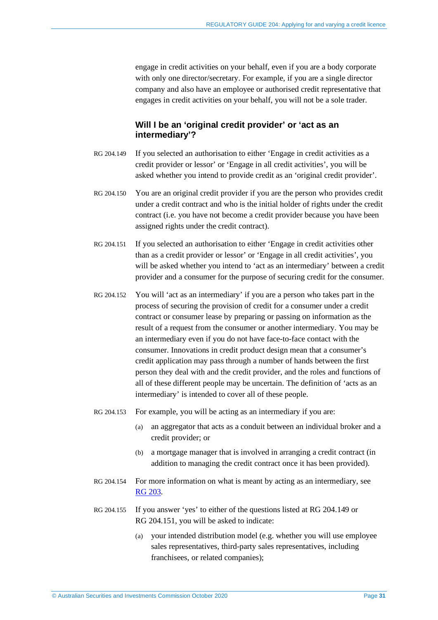engage in credit activities on your behalf, even if you are a body corporate with only one director/secretary. For example, if you are a single director company and also have an employee or authorised credit representative that engages in credit activities on your behalf, you will not be a sole trader.

## **Will I be an 'original credit provider' or 'act as an intermediary'?**

- <span id="page-30-1"></span>RG 204.149 If you selected an authorisation to either 'Engage in credit activities as a credit provider or lessor' or 'Engage in all credit activities', you will be asked whether you intend to provide credit as an 'original credit provider'.
- RG 204.150 You are an original credit provider if you are the person who provides credit under a credit contract and who is the initial holder of rights under the credit contract (i.e. you have not become a credit provider because you have been assigned rights under the credit contract).
- <span id="page-30-2"></span>RG 204.151 If you selected an authorisation to either 'Engage in credit activities other than as a credit provider or lessor' or 'Engage in all credit activities', you will be asked whether you intend to 'act as an intermediary' between a credit provider and a consumer for the purpose of securing credit for the consumer.
- RG 204.152 You will 'act as an intermediary' if you are a person who takes part in the process of securing the provision of credit for a consumer under a credit contract or consumer lease by preparing or passing on information as the result of a request from the consumer or another intermediary. You may be an intermediary even if you do not have face-to-face contact with the consumer. Innovations in credit product design mean that a consumer's credit application may pass through a number of hands between the first person they deal with and the credit provider, and the roles and functions of all of these different people may be uncertain. The definition of 'acts as an intermediary' is intended to cover all of these people.
- RG 204.153 For example, you will be acting as an intermediary if you are:
	- (a) an aggregator that acts as a conduit between an individual broker and a credit provider; or
	- (b) a mortgage manager that is involved in arranging a credit contract (in addition to managing the credit contract once it has been provided).
- RG 204.154 For more information on what is meant by acting as an intermediary, see RG [203.](https://asic.gov.au/regulatory-resources/find-a-document/regulatory-guides/rg-203-do-i-need-a-credit-licence/)
- <span id="page-30-0"></span>RG 204.155 If you answer 'yes' to either of the questions listed at RG [204.149](#page-30-1) or RG [204.151,](#page-30-2) you will be asked to indicate:
	- (a) your intended distribution model (e.g. whether you will use employee sales representatives, third-party sales representatives, including franchisees, or related companies);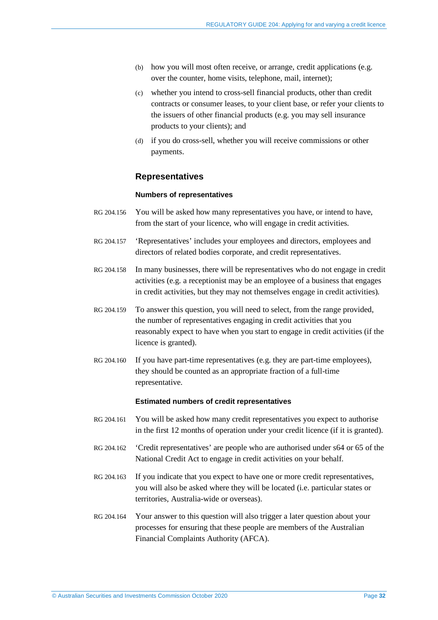- (b) how you will most often receive, or arrange, credit applications (e.g. over the counter, home visits, telephone, mail, internet);
- (c) whether you intend to cross-sell financial products, other than credit contracts or consumer leases, to your client base, or refer your clients to the issuers of other financial products (e.g. you may sell insurance products to your clients); and
- (d) if you do cross-sell, whether you will receive commissions or other payments.

### **Representatives**

#### **Numbers of representatives**

- <span id="page-31-0"></span>RG 204.156 You will be asked how many representatives you have, or intend to have, from the start of your licence, who will engage in credit activities.
- RG 204.157 'Representatives' includes your employees and directors, employees and directors of related bodies corporate, and credit representatives.
- RG 204.158 In many businesses, there will be representatives who do not engage in credit activities (e.g. a receptionist may be an employee of a business that engages in credit activities, but they may not themselves engage in credit activities).
- RG 204.159 To answer this question, you will need to select, from the range provided, the number of representatives engaging in credit activities that you reasonably expect to have when you start to engage in credit activities (if the licence is granted).
- RG 204.160 If you have part-time representatives (e.g. they are part-time employees), they should be counted as an appropriate fraction of a full-time representative.

#### **Estimated numbers of credit representatives**

- RG 204.161 You will be asked how many credit representatives you expect to authorise in the first 12 months of operation under your credit licence (if it is granted).
- RG 204.162 'Credit representatives' are people who are authorised under s64 or 65 of the National Credit Act to engage in credit activities on your behalf.
- RG 204.163 If you indicate that you expect to have one or more credit representatives, you will also be asked where they will be located (i.e. particular states or territories, Australia-wide or overseas).
- <span id="page-31-1"></span>RG 204.164 Your answer to this question will also trigger a later question about your processes for ensuring that these people are members of the Australian Financial Complaints Authority (AFCA).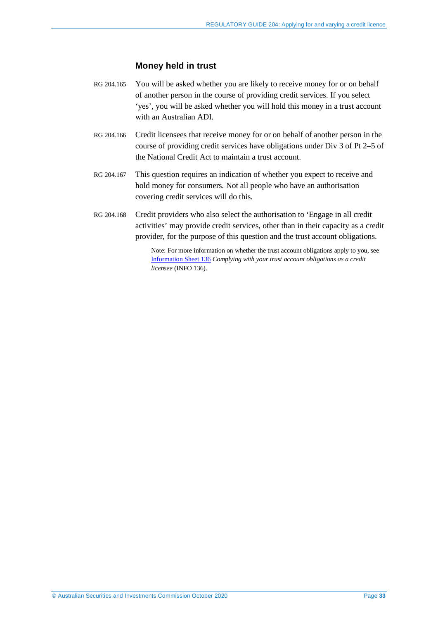### **Money held in trust**

- RG 204.165 You will be asked whether you are likely to receive money for or on behalf of another person in the course of providing credit services. If you select 'yes', you will be asked whether you will hold this money in a trust account with an Australian ADI.
- RG 204.166 Credit licensees that receive money for or on behalf of another person in the course of providing credit services have obligations under Div 3 of Pt 2–5 of the National Credit Act to maintain a trust account.
- RG 204.167 This question requires an indication of whether you expect to receive and hold money for consumers. Not all people who have an authorisation covering credit services will do this.
- RG 204.168 Credit providers who also select the authorisation to 'Engage in all credit activities' may provide credit services, other than in their capacity as a credit provider, for the purpose of this question and the trust account obligations.

Note: For more information on whether the trust account obligations apply to you, see [Information Sheet 136](https://asic.gov.au/regulatory-resources/credit/credit-general-conduct-obligations/complying-with-your-trust-account-obligations-as-a-credit-licensee/) *Complying with your trust account obligations as a credit licensee* (INFO 136).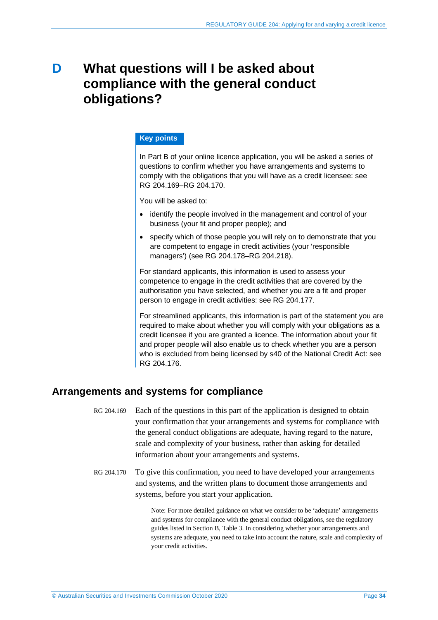# <span id="page-33-0"></span>**D What questions will I be asked about compliance with the general conduct obligations?**

### **Key points**

In Part B of your online licence application, you will be asked a series of questions to confirm whether you have arrangements and systems to comply with the obligations that you will have as a credit licensee: see RG [204.169–](#page-33-2)RG [204.170.](#page-33-3)

You will be asked to:

- identify the people involved in the management and control of your business (your fit and proper people); and
- specify which of those people you will rely on to demonstrate that you are competent to engage in credit activities (your 'responsible managers') (see RG [204.178–](#page-35-0)RG [204.218\)](#page-40-0).

For standard applicants, this information is used to assess your competence to engage in the credit activities that are covered by the authorisation you have selected, and whether you are a fit and proper person to engage in credit activities: see RG [204.177.](#page-34-1)

For streamlined applicants, this information is part of the statement you are required to make about whether you will comply with your obligations as a credit licensee if you are granted a licence. The information about your fit and proper people will also enable us to check whether you are a person who is excluded from being licensed by s40 of the National Credit Act: see RG [204.176.](#page-34-2)

# <span id="page-33-2"></span><span id="page-33-1"></span>**Arrangements and systems for compliance**

- RG 204.169 Each of the questions in this part of the application is designed to obtain your confirmation that your arrangements and systems for compliance with the general conduct obligations are adequate, having regard to the nature, scale and complexity of your business, rather than asking for detailed information about your arrangements and systems.
- <span id="page-33-3"></span>RG 204.170 To give this confirmation, you need to have developed your arrangements and systems, and the written plans to document those arrangements and systems, before you start your application.

Note: For more detailed guidance on what we consider to be 'adequate' arrangements and systems for compliance with the general conduct obligations, see the regulatory guides listed in Sectio[n B,](#page-11-0) [Table 3.](#page-13-0) In considering whether your arrangements and systems are adequate, you need to take into account the nature, scale and complexity of your credit activities.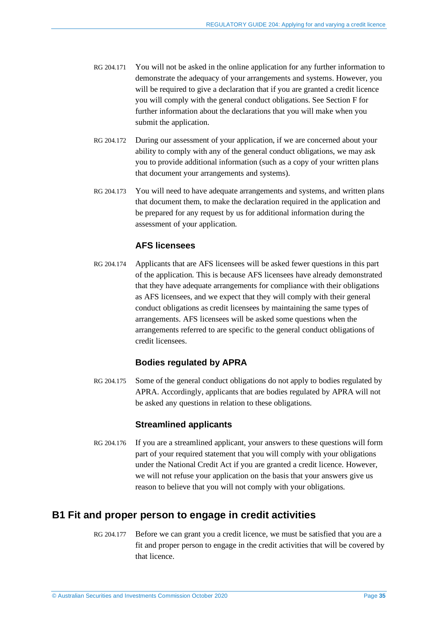- RG 204.171 You will not be asked in the online application for any further information to demonstrate the adequacy of your arrangements and systems. However, you will be required to give a declaration that if you are granted a credit licence you will comply with the general conduct obligations. See Section [F](#page-58-0) for further information about the declarations that you will make when you submit the application.
- RG 204.172 During our assessment of your application, if we are concerned about your ability to comply with any of the general conduct obligations, we may ask you to provide additional information (such as a copy of your written plans that document your arrangements and systems).
- RG 204.173 You will need to have adequate arrangements and systems, and written plans that document them, to make the declaration required in the application and be prepared for any request by us for additional information during the assessment of your application.

# **AFS licensees**

RG 204.174 Applicants that are AFS licensees will be asked fewer questions in this part of the application. This is because AFS licensees have already demonstrated that they have adequate arrangements for compliance with their obligations as AFS licensees, and we expect that they will comply with their general conduct obligations as credit licensees by maintaining the same types of arrangements. AFS licensees will be asked some questions when the arrangements referred to are specific to the general conduct obligations of credit licensees.

### **Bodies regulated by APRA**

RG 204.175 Some of the general conduct obligations do not apply to bodies regulated by APRA. Accordingly, applicants that are bodies regulated by APRA will not be asked any questions in relation to these obligations.

### **Streamlined applicants**

<span id="page-34-2"></span>RG 204.176 If you are a streamlined applicant, your answers to these questions will form part of your required statement that you will comply with your obligations under the National Credit Act if you are granted a credit licence. However, we will not refuse your application on the basis that your answers give us reason to believe that you will not comply with your obligations.

# <span id="page-34-1"></span><span id="page-34-0"></span>**B1 Fit and proper person to engage in credit activities**

RG 204.177 Before we can grant you a credit licence, we must be satisfied that you are a fit and proper person to engage in the credit activities that will be covered by that licence.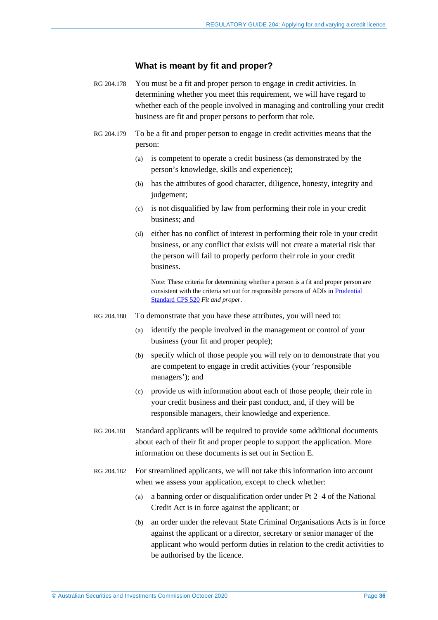### **What is meant by fit and proper?**

- <span id="page-35-0"></span>RG 204.178 You must be a fit and proper person to engage in credit activities. In determining whether you meet this requirement, we will have regard to whether each of the people involved in managing and controlling your credit business are fit and proper persons to perform that role.
- RG 204.179 To be a fit and proper person to engage in credit activities means that the person:
	- (a) is competent to operate a credit business (as demonstrated by the person's knowledge, skills and experience);
	- (b) has the attributes of good character, diligence, honesty, integrity and judgement:
	- (c) is not disqualified by law from performing their role in your credit business; and
	- (d) either has no conflict of interest in performing their role in your credit business, or any conflict that exists will not create a material risk that the person will fail to properly perform their role in your credit business.

Note: These criteria for determining whether a person is a fit and proper person are consistent with the criteria set out for responsible persons of ADIs i[n Prudential](https://www.apra.gov.au/fit-and-proper-0)  [Standard CPS 520](https://www.apra.gov.au/fit-and-proper-0) *Fit and proper*.

- RG 204.180 To demonstrate that you have these attributes, you will need to:
	- (a) identify the people involved in the management or control of your business (your fit and proper people);
	- (b) specify which of those people you will rely on to demonstrate that you are competent to engage in credit activities (your 'responsible managers'); and
	- (c) provide us with information about each of those people, their role in your credit business and their past conduct, and, if they will be responsible managers, their knowledge and experience.
- RG 204.181 Standard applicants will be required to provide some additional documents about each of their fit and proper people to support the application. More information on these documents is set out in Section [E.](#page-50-0)
- RG 204.182 For streamlined applicants, we will not take this information into account when we assess your application, except to check whether:
	- (a) a banning order or disqualification order under Pt 2–4 of the National Credit Act is in force against the applicant; or
	- (b) an order under the relevant State Criminal Organisations Acts is in force against the applicant or a director, secretary or senior manager of the applicant who would perform duties in relation to the credit activities to be authorised by the licence.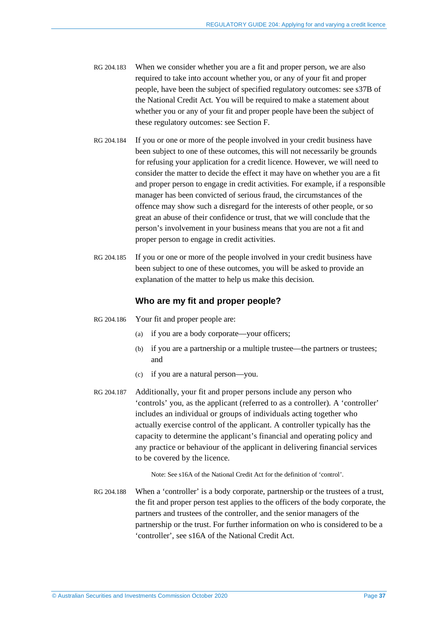- RG 204.183 When we consider whether you are a fit and proper person, we are also required to take into account whether you, or any of your fit and proper people, have been the subject of specified regulatory outcomes: see s37B of the National Credit Act. You will be required to make a statement about whether you or any of your fit and proper people have been the subject of these regulatory outcomes: see Section [F.](#page-58-0)
- RG 204.184 If you or one or more of the people involved in your credit business have been subject to one of these outcomes, this will not necessarily be grounds for refusing your application for a credit licence. However, we will need to consider the matter to decide the effect it may have on whether you are a fit and proper person to engage in credit activities. For example, if a responsible manager has been convicted of serious fraud, the circumstances of the offence may show such a disregard for the interests of other people, or so great an abuse of their confidence or trust, that we will conclude that the person's involvement in your business means that you are not a fit and proper person to engage in credit activities.
- RG 204.185 If you or one or more of the people involved in your credit business have been subject to one of these outcomes, you will be asked to provide an explanation of the matter to help us make this decision.

### **Who are my fit and proper people?**

- RG 204.186 Your fit and proper people are:
	- (a) if you are a body corporate—your officers;
	- (b) if you are a partnership or a multiple trustee—the partners or trustees; and
	- (c) if you are a natural person—you.
- <span id="page-36-0"></span>RG 204.187 Additionally, your fit and proper persons include any person who 'controls' you, as the applicant (referred to as a controller). A 'controller' includes an individual or groups of individuals acting together who actually exercise control of the applicant. A controller typically has the capacity to determine the applicant's financial and operating policy and any practice or behaviour of the applicant in delivering financial services to be covered by the licence.

Note: See s16A of the National Credit Act for the definition of 'control'.

<span id="page-36-1"></span>RG 204.188 When a 'controller' is a body corporate, partnership or the trustees of a trust, the fit and proper person test applies to the officers of the body corporate, the partners and trustees of the controller, and the senior managers of the partnership or the trust. For further information on who is considered to be a 'controller', see s16A of the National Credit Act.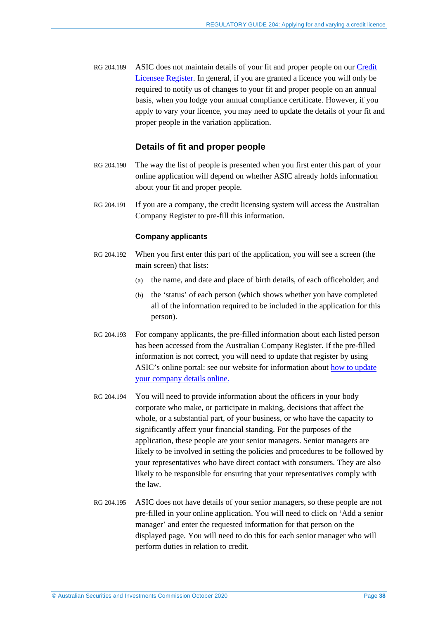RG 204.189 ASIC does not maintain details of your fit and proper people on our [Credit](https://asic.gov.au/online-services/search-asics-registers/)  [Licensee Register.](https://asic.gov.au/online-services/search-asics-registers/) In general, if you are granted a licence you will only be required to notify us of changes to your fit and proper people on an annual basis, when you lodge your annual compliance certificate. However, if you apply to vary your licence, you may need to update the details of your fit and proper people in the variation application.

# **Details of fit and proper people**

- <span id="page-37-1"></span>RG 204.190 The way the list of people is presented when you first enter this part of your online application will depend on whether ASIC already holds information about your fit and proper people.
- RG 204.191 If you are a company, the credit licensing system will access the Australian Company Register to pre-fill this information.

#### **Company applicants**

- RG 204.192 When you first enter this part of the application, you will see a screen (the main screen) that lists:
	- (a) the name, and date and place of birth details, of each officeholder; and
	- (b) the 'status' of each person (which shows whether you have completed all of the information required to be included in the application for this person).
- RG 204.193 For company applicants, the pre-filled information about each listed person has been accessed from the Australian Company Register. If the pre-filled information is not correct, you will need to update that register by using ASIC's online portal: see our website for information about [how to update](https://asic.gov.au/for-business/changes-to-your-company/)  [your company details online.](https://asic.gov.au/for-business/changes-to-your-company/)
- <span id="page-37-0"></span>RG 204.194 You will need to provide information about the officers in your body corporate who make, or participate in making, decisions that affect the whole, or a substantial part, of your business, or who have the capacity to significantly affect your financial standing. For the purposes of the application, these people are your senior managers. Senior managers are likely to be involved in setting the policies and procedures to be followed by your representatives who have direct contact with consumers. They are also likely to be responsible for ensuring that your representatives comply with the law.
- RG 204.195 ASIC does not have details of your senior managers, so these people are not pre-filled in your online application. You will need to click on 'Add a senior manager' and enter the requested information for that person on the displayed page. You will need to do this for each senior manager who will perform duties in relation to credit.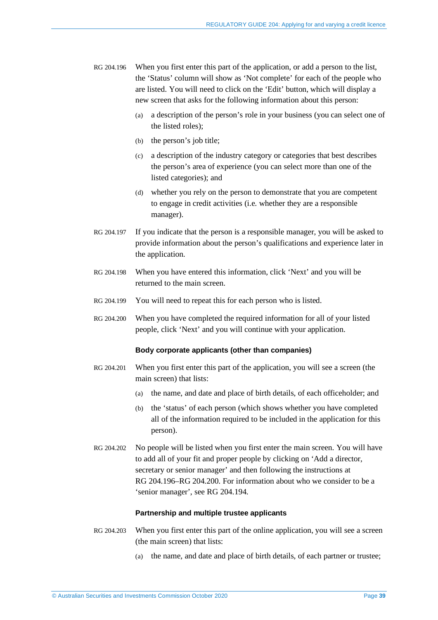- <span id="page-38-0"></span>RG 204.196 When you first enter this part of the application, or add a person to the list, the 'Status' column will show as 'Not complete' for each of the people who are listed. You will need to click on the 'Edit' button, which will display a new screen that asks for the following information about this person:
	- (a) a description of the person's role in your business (you can select one of the listed roles);
	- (b) the person's job title;
	- (c) a description of the industry category or categories that best describes the person's area of experience (you can select more than one of the listed categories); and
	- (d) whether you rely on the person to demonstrate that you are competent to engage in credit activities (i.e. whether they are a responsible manager).
- RG 204.197 If you indicate that the person is a responsible manager, you will be asked to provide information about the person's qualifications and experience later in the application.
- RG 204.198 When you have entered this information, click 'Next' and you will be returned to the main screen.
- RG 204.199 You will need to repeat this for each person who is listed.
- <span id="page-38-1"></span>RG 204.200 When you have completed the required information for all of your listed people, click 'Next' and you will continue with your application.

#### **Body corporate applicants (other than companies)**

- RG 204.201 When you first enter this part of the application, you will see a screen (the main screen) that lists:
	- (a) the name, and date and place of birth details, of each officeholder; and
	- (b) the 'status' of each person (which shows whether you have completed all of the information required to be included in the application for this person).
- RG 204.202 No people will be listed when you first enter the main screen. You will have to add all of your fit and proper people by clicking on 'Add a director, secretary or senior manager' and then following the instructions at RG [204.196–](#page-38-0)RG [204.200.](#page-38-1) For information about who we consider to be a 'senior manager', see RG [204.194.](#page-37-0)

#### **Partnership and multiple trustee applicants**

- RG 204.203 When you first enter this part of the online application, you will see a screen (the main screen) that lists:
	- (a) the name, and date and place of birth details, of each partner or trustee;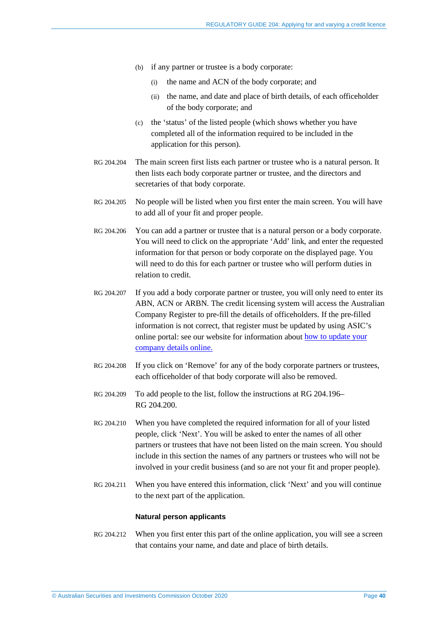- (b) if any partner or trustee is a body corporate:
	- (i) the name and ACN of the body corporate; and
	- (ii) the name, and date and place of birth details, of each officeholder of the body corporate; and
- (c) the 'status' of the listed people (which shows whether you have completed all of the information required to be included in the application for this person).
- RG 204.204 The main screen first lists each partner or trustee who is a natural person. It then lists each body corporate partner or trustee, and the directors and secretaries of that body corporate.
- RG 204.205 No people will be listed when you first enter the main screen. You will have to add all of your fit and proper people.
- RG 204.206 You can add a partner or trustee that is a natural person or a body corporate. You will need to click on the appropriate 'Add' link, and enter the requested information for that person or body corporate on the displayed page. You will need to do this for each partner or trustee who will perform duties in relation to credit.
- RG 204.207 If you add a body corporate partner or trustee, you will only need to enter its ABN, ACN or ARBN. The credit licensing system will access the Australian Company Register to pre-fill the details of officeholders. If the pre-filled information is not correct, that register must be updated by using ASIC's online portal: see our website for information about [how to update your](https://asic.gov.au/for-business/changes-to-your-company/)  [company details online.](https://asic.gov.au/for-business/changes-to-your-company/)
- RG 204.208 If you click on 'Remove' for any of the body corporate partners or trustees, each officeholder of that body corporate will also be removed.
- RG 204.209 To add people to the list, follow the instructions at RG [204.196–](#page-38-0) RG [204.200.](#page-38-1)
- RG 204.210 When you have completed the required information for all of your listed people, click 'Next'. You will be asked to enter the names of all other partners or trustees that have not been listed on the main screen. You should include in this section the names of any partners or trustees who will not be involved in your credit business (and so are not your fit and proper people).
- RG 204.211 When you have entered this information, click 'Next' and you will continue to the next part of the application.

#### **Natural person applicants**

RG 204.212 When you first enter this part of the online application, you will see a screen that contains your name, and date and place of birth details.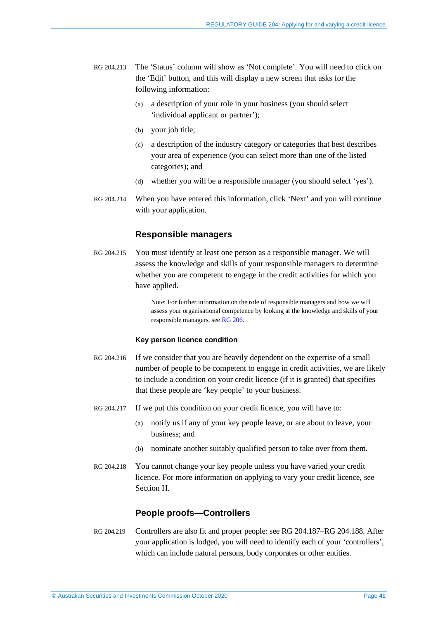- RG 204.213 The 'Status' column will show as 'Not complete'. You will need to click on the 'Edit' button, and this will display a new screen that asks for the following information:
	- (a) a description of your role in your business (you should select 'individual applicant or partner');
	- (b) your job title;
	- (c) a description of the industry category or categories that best describes your area of experience (you can select more than one of the listed categories); and
	- (d) whether you will be a responsible manager (you should select 'yes').
- <span id="page-40-0"></span>RG 204.214 When you have entered this information, click 'Next' and you will continue with your application.

### **Responsible managers**

RG 204.215 You must identify at least one person as a responsible manager. We will assess the knowledge and skills of your responsible managers to determine whether you are competent to engage in the credit activities for which you have applied.

> Note: For further information on the role of responsible managers and how we will assess your organisational competence by looking at the knowledge and skills of your responsible managers, se[e RG 206.](https://asic.gov.au/regulatory-resources/credit/credit-general-conduct-obligations/rg-206-credit-licensing-competence-and-training/)

#### **Key person licence condition**

- RG 204.216 If we consider that you are heavily dependent on the expertise of a small number of people to be competent to engage in credit activities, we are likely to include a condition on your credit licence (if it is granted) that specifies that these people are 'key people' to your business.
- RG 204.217 If we put this condition on your credit licence, you will have to:
	- (a) notify us if any of your key people leave, or are about to leave, your business; and
	- (b) nominate another suitably qualified person to take over from them.
- RG 204.218 You cannot change your key people unless you have varied your credit licence. For more information on applying to vary your credit licence, see Section [H.](#page-64-0)

## **People proofs—Controllers**

RG 204.219 Controllers are also fit and proper people: see RG [204.187–](#page-36-0)RG [204.188.](#page-36-1) After your application is lodged, you will need to identify each of your 'controllers', which can include natural persons, body corporates or other entities.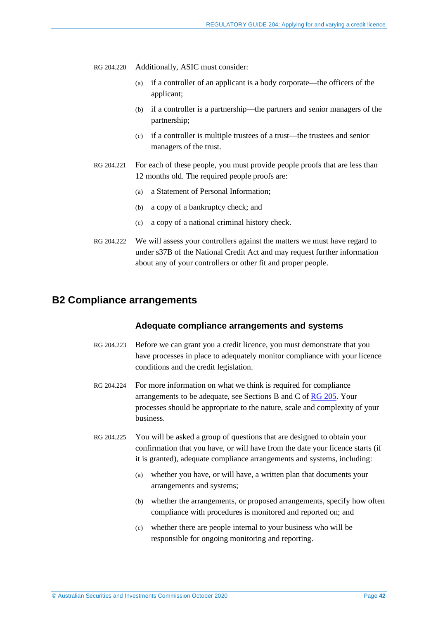RG 204.220 Additionally, ASIC must consider:

- (a) if a controller of an applicant is a body corporate—the officers of the applicant;
- (b) if a controller is a partnership—the partners and senior managers of the partnership;
- (c) if a controller is multiple trustees of a trust—the trustees and senior managers of the trust.
- RG 204.221 For each of these people, you must provide people proofs that are less than 12 months old. The required people proofs are:
	- (a) a Statement of Personal Information;
	- (b) a copy of a bankruptcy check; and
	- (c) a copy of a national criminal history check.
- RG 204.222 We will assess your controllers against the matters we must have regard to under s37B of the National Credit Act and may request further information about any of your controllers or other fit and proper people.

## **B2 Compliance arrangements**

### **Adequate compliance arrangements and systems**

- RG 204.223 Before we can grant you a credit licence, you must demonstrate that you have processes in place to adequately monitor compliance with your licence conditions and the credit legislation.
- RG 204.224 For more information on what we think is required for compliance arrangements to be adequate, see Sections B and C of [RG 205.](https://asic.gov.au/regulatory-resources/credit/credit-general-conduct-obligations/rg-205-credit-licensing-general-conduct-obligations/) Your processes should be appropriate to the nature, scale and complexity of your business.
- RG 204.225 You will be asked a group of questions that are designed to obtain your confirmation that you have, or will have from the date your licence starts (if it is granted), adequate compliance arrangements and systems, including:
	- (a) whether you have, or will have, a written plan that documents your arrangements and systems;
	- (b) whether the arrangements, or proposed arrangements, specify how often compliance with procedures is monitored and reported on; and
	- (c) whether there are people internal to your business who will be responsible for ongoing monitoring and reporting.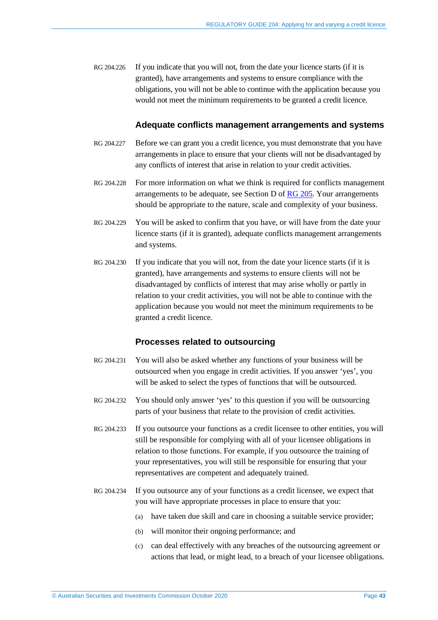RG 204.226 If you indicate that you will not, from the date your licence starts (if it is granted), have arrangements and systems to ensure compliance with the obligations, you will not be able to continue with the application because you would not meet the minimum requirements to be granted a credit licence.

### **Adequate conflicts management arrangements and systems**

- RG 204.227 Before we can grant you a credit licence, you must demonstrate that you have arrangements in place to ensure that your clients will not be disadvantaged by any conflicts of interest that arise in relation to your credit activities.
- RG 204.228 For more information on what we think is required for conflicts management arrangements to be adequate, see Section D of [RG 205.](https://asic.gov.au/regulatory-resources/credit/credit-general-conduct-obligations/rg-205-credit-licensing-general-conduct-obligations/) Your arrangements should be appropriate to the nature, scale and complexity of your business.
- RG 204.229 You will be asked to confirm that you have, or will have from the date your licence starts (if it is granted), adequate conflicts management arrangements and systems.
- RG 204.230 If you indicate that you will not, from the date your licence starts (if it is granted), have arrangements and systems to ensure clients will not be disadvantaged by conflicts of interest that may arise wholly or partly in relation to your credit activities, you will not be able to continue with the application because you would not meet the minimum requirements to be granted a credit licence.

### **Processes related to outsourcing**

- RG 204.231 You will also be asked whether any functions of your business will be outsourced when you engage in credit activities. If you answer 'yes', you will be asked to select the types of functions that will be outsourced.
- RG 204.232 You should only answer 'yes' to this question if you will be outsourcing parts of your business that relate to the provision of credit activities.
- RG 204.233 If you outsource your functions as a credit licensee to other entities, you will still be responsible for complying with all of your licensee obligations in relation to those functions. For example, if you outsource the training of your representatives, you will still be responsible for ensuring that your representatives are competent and adequately trained.
- RG 204.234 If you outsource any of your functions as a credit licensee, we expect that you will have appropriate processes in place to ensure that you:
	- (a) have taken due skill and care in choosing a suitable service provider;
	- (b) will monitor their ongoing performance; and
	- (c) can deal effectively with any breaches of the outsourcing agreement or actions that lead, or might lead, to a breach of your licensee obligations.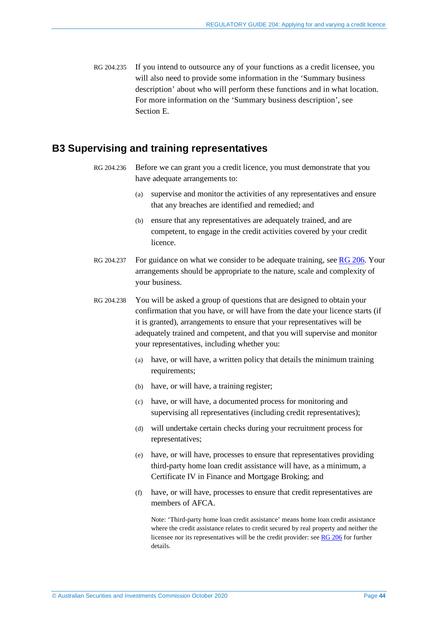RG 204.235 If you intend to outsource any of your functions as a credit licensee, you will also need to provide some information in the 'Summary business description' about who will perform these functions and in what location. For more information on the 'Summary business description', see Section [E.](#page-50-0)

# **B3 Supervising and training representatives**

- RG 204.236 Before we can grant you a credit licence, you must demonstrate that you have adequate arrangements to:
	- (a) supervise and monitor the activities of any representatives and ensure that any breaches are identified and remedied; and
	- (b) ensure that any representatives are adequately trained, and are competent, to engage in the credit activities covered by your credit licence.
- RG 204.237 For guidance on what we consider to be adequate training, see [RG 206.](https://asic.gov.au/regulatory-resources/credit/credit-general-conduct-obligations/rg-206-credit-licensing-competence-and-training/) Your arrangements should be appropriate to the nature, scale and complexity of your business.
- RG 204.238 You will be asked a group of questions that are designed to obtain your confirmation that you have, or will have from the date your licence starts (if it is granted), arrangements to ensure that your representatives will be adequately trained and competent, and that you will supervise and monitor your representatives, including whether you:
	- (a) have, or will have, a written policy that details the minimum training requirements;
	- (b) have, or will have, a training register;
	- (c) have, or will have, a documented process for monitoring and supervising all representatives (including credit representatives);
	- (d) will undertake certain checks during your recruitment process for representatives;
	- (e) have, or will have, processes to ensure that representatives providing third-party home loan credit assistance will have, as a minimum, a Certificate IV in Finance and Mortgage Broking; and
	- (f) have, or will have, processes to ensure that credit representatives are members of AFCA.

Note: 'Third-party home loan credit assistance' means home loan credit assistance where the credit assistance relates to credit secured by real property and neither the licensee nor its representatives will be the credit provider: se[e RG 206](https://asic.gov.au/regulatory-resources/credit/credit-general-conduct-obligations/rg-206-credit-licensing-competence-and-training/) for further details.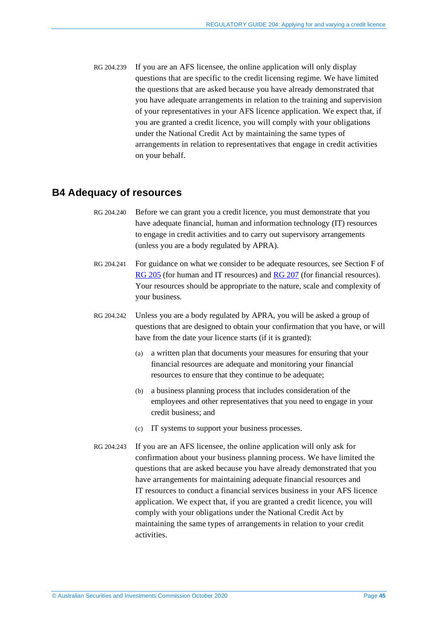RG 204.239 If you are an AFS licensee, the online application will only display questions that are specific to the credit licensing regime. We have limited the questions that are asked because you have already demonstrated that you have adequate arrangements in relation to the training and supervision of your representatives in your AFS licence application. We expect that, if you are granted a credit licence, you will comply with your obligations under the National Credit Act by maintaining the same types of arrangements in relation to representatives that engage in credit activities on your behalf.

# **B4 Adequacy of resources**

- RG 204.240 Before we can grant you a credit licence, you must demonstrate that you have adequate financial, human and information technology (IT) resources to engage in credit activities and to carry out supervisory arrangements (unless you are a body regulated by APRA).
- RG 204.241 For guidance on what we consider to be adequate resources, see Section F of [RG 205](https://asic.gov.au/regulatory-resources/credit/credit-general-conduct-obligations/rg-205-credit-licensing-general-conduct-obligations/) (for human and IT resources) and [RG 207](https://asic.gov.au/regulatory-resources/credit/credit-general-conduct-obligations/rg-207-credit-licensing-financial-requirements/) (for financial resources). Your resources should be appropriate to the nature, scale and complexity of your business.
- RG 204.242 Unless you are a body regulated by APRA, you will be asked a group of questions that are designed to obtain your confirmation that you have, or will have from the date your licence starts (if it is granted):
	- (a) a written plan that documents your measures for ensuring that your financial resources are adequate and monitoring your financial resources to ensure that they continue to be adequate;
	- (b) a business planning process that includes consideration of the employees and other representatives that you need to engage in your credit business; and
	- (c) IT systems to support your business processes.
- RG 204.243 If you are an AFS licensee, the online application will only ask for confirmation about your business planning process. We have limited the questions that are asked because you have already demonstrated that you have arrangements for maintaining adequate financial resources and IT resources to conduct a financial services business in your AFS licence application. We expect that, if you are granted a credit licence, you will comply with your obligations under the National Credit Act by maintaining the same types of arrangements in relation to your credit activities.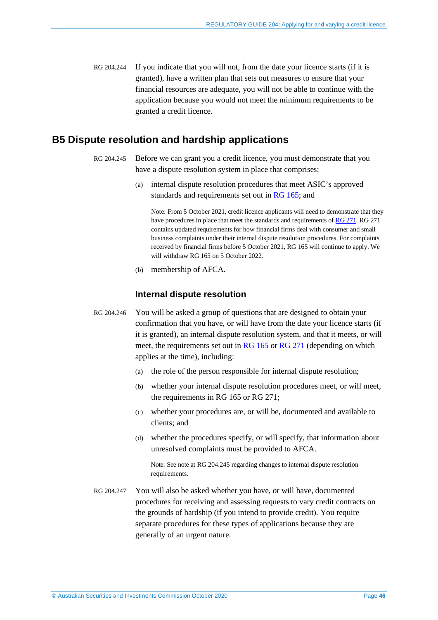RG 204.244 If you indicate that you will not, from the date your licence starts (if it is granted), have a written plan that sets out measures to ensure that your financial resources are adequate, you will not be able to continue with the application because you would not meet the minimum requirements to be granted a credit licence.

# <span id="page-45-0"></span>**B5 Dispute resolution and hardship applications**

- RG 204.245 Before we can grant you a credit licence, you must demonstrate that you have a dispute resolution system in place that comprises:
	- (a) internal dispute resolution procedures that meet ASIC's approved standards and requirements set out in  $\overline{RG}$  165; and

Note: From 5 October 2021, credit licence applicants will need to demonstrate that they have procedures in place that meet the standards and requirements of [RG 271.](https://asic.gov.au/regulatory-resources/find-a-document/regulatory-guides/rg-271-internal-dispute-resolution/) RG 271 contains updated requirements for how financial firms deal with consumer and small business complaints under their internal dispute resolution procedures. For complaints received by financial firms before 5 October 2021, RG 165 will continue to apply. We will withdraw RG 165 on 5 October 2022.

(b) membership of AFCA.

# **Internal dispute resolution**

- RG 204.246 You will be asked a group of questions that are designed to obtain your confirmation that you have, or will have from the date your licence starts (if it is granted), an internal dispute resolution system, and that it meets, or will meet, the requirements set out in [RG 165](https://asic.gov.au/regulatory-resources/find-a-document/regulatory-guides/rg-165-licensing-internal-and-external-dispute-resolution/) or [RG 271](https://asic.gov.au/regulatory-resources/find-a-document/regulatory-guides/rg-271-internal-dispute-resolution/) (depending on which applies at the time), including:
	- (a) the role of the person responsible for internal dispute resolution;
	- (b) whether your internal dispute resolution procedures meet, or will meet, the requirements in RG 165 or RG 271;
	- (c) whether your procedures are, or will be, documented and available to clients; and
	- (d) whether the procedures specify, or will specify, that information about unresolved complaints must be provided to AFCA.

Note: See note at [RG 204.245](#page-45-0) regarding changes to internal dispute resolution requirements.

RG 204.247 You will also be asked whether you have, or will have, documented procedures for receiving and assessing requests to vary credit contracts on the grounds of hardship (if you intend to provide credit). You require separate procedures for these types of applications because they are generally of an urgent nature.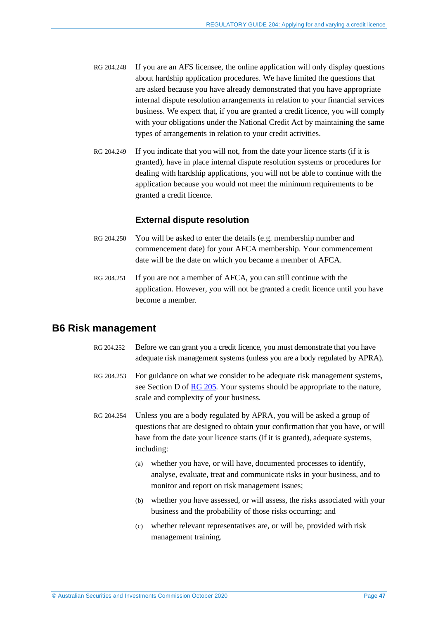- RG 204.248 If you are an AFS licensee, the online application will only display questions about hardship application procedures. We have limited the questions that are asked because you have already demonstrated that you have appropriate internal dispute resolution arrangements in relation to your financial services business. We expect that, if you are granted a credit licence, you will comply with your obligations under the National Credit Act by maintaining the same types of arrangements in relation to your credit activities.
- RG 204.249 If you indicate that you will not, from the date your licence starts (if it is granted), have in place internal dispute resolution systems or procedures for dealing with hardship applications, you will not be able to continue with the application because you would not meet the minimum requirements to be granted a credit licence.

### **External dispute resolution**

- RG 204.250 You will be asked to enter the details (e.g. membership number and commencement date) for your AFCA membership. Your commencement date will be the date on which you became a member of AFCA.
- RG 204.251 If you are not a member of AFCA, you can still continue with the application. However, you will not be granted a credit licence until you have become a member.

# **B6 Risk management**

- RG 204.252 Before we can grant you a credit licence, you must demonstrate that you have adequate risk management systems (unless you are a body regulated by APRA).
- RG 204.253 For guidance on what we consider to be adequate risk management systems, see Section D of [RG 205.](https://asic.gov.au/regulatory-resources/credit/credit-general-conduct-obligations/rg-205-credit-licensing-general-conduct-obligations/) Your systems should be appropriate to the nature, scale and complexity of your business.
- RG 204.254 Unless you are a body regulated by APRA, you will be asked a group of questions that are designed to obtain your confirmation that you have, or will have from the date your licence starts (if it is granted), adequate systems, including:
	- (a) whether you have, or will have, documented processes to identify, analyse, evaluate, treat and communicate risks in your business, and to monitor and report on risk management issues;
	- (b) whether you have assessed, or will assess, the risks associated with your business and the probability of those risks occurring; and
	- (c) whether relevant representatives are, or will be, provided with risk management training.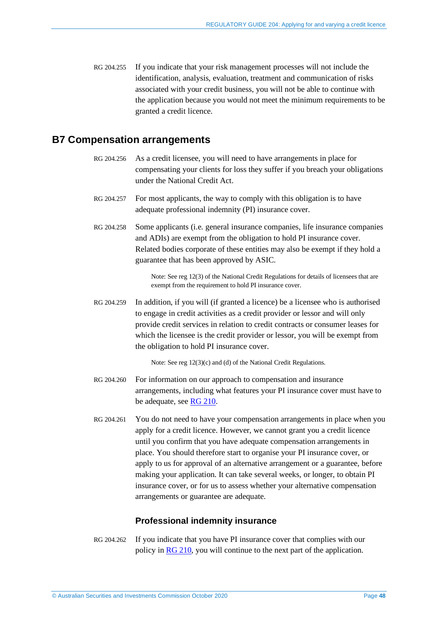RG 204.255 If you indicate that your risk management processes will not include the identification, analysis, evaluation, treatment and communication of risks associated with your credit business, you will not be able to continue with the application because you would not meet the minimum requirements to be granted a credit licence.

# **B7 Compensation arrangements**

- RG 204.256 As a credit licensee, you will need to have arrangements in place for compensating your clients for loss they suffer if you breach your obligations under the National Credit Act.
- RG 204.257 For most applicants, the way to comply with this obligation is to have adequate professional indemnity (PI) insurance cover.
- RG 204.258 Some applicants (i.e. general insurance companies, life insurance companies and ADIs) are exempt from the obligation to hold PI insurance cover. Related bodies corporate of these entities may also be exempt if they hold a guarantee that has been approved by ASIC.

Note: See reg 12(3) of the National Credit Regulations for details of licensees that are exempt from the requirement to hold PI insurance cover.

RG 204.259 In addition, if you will (if granted a licence) be a licensee who is authorised to engage in credit activities as a credit provider or lessor and will only provide credit services in relation to credit contracts or consumer leases for which the licensee is the credit provider or lessor, you will be exempt from the obligation to hold PI insurance cover.

Note: See reg 12(3)(c) and (d) of the National Credit Regulations.

- RG 204.260 For information on our approach to compensation and insurance arrangements, including what features your PI insurance cover must have to be adequate, see [RG 210.](https://asic.gov.au/regulatory-resources/credit/credit-general-conduct-obligations/rg-210-compensation-and-insurance-arrangements-for-credit-licensees/)
- RG 204.261 You do not need to have your compensation arrangements in place when you apply for a credit licence. However, we cannot grant you a credit licence until you confirm that you have adequate compensation arrangements in place. You should therefore start to organise your PI insurance cover, or apply to us for approval of an alternative arrangement or a guarantee, before making your application. It can take several weeks, or longer, to obtain PI insurance cover, or for us to assess whether your alternative compensation arrangements or guarantee are adequate.

### **Professional indemnity insurance**

RG 204.262 If you indicate that you have PI insurance cover that complies with our policy in [RG 210,](https://asic.gov.au/regulatory-resources/credit/credit-general-conduct-obligations/rg-210-compensation-and-insurance-arrangements-for-credit-licensees/) you will continue to the next part of the application.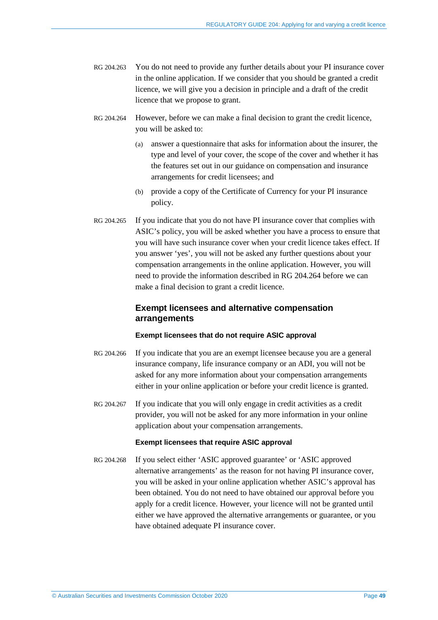- RG 204.263 You do not need to provide any further details about your PI insurance cover in the online application. If we consider that you should be granted a credit licence, we will give you a decision in principle and a draft of the credit licence that we propose to grant.
- <span id="page-48-0"></span>RG 204.264 However, before we can make a final decision to grant the credit licence, you will be asked to:
	- (a) answer a questionnaire that asks for information about the insurer, the type and level of your cover, the scope of the cover and whether it has the features set out in our guidance on compensation and insurance arrangements for credit licensees; and
	- (b) provide a copy of the Certificate of Currency for your PI insurance policy.
- RG 204.265 If you indicate that you do not have PI insurance cover that complies with ASIC's policy, you will be asked whether you have a process to ensure that you will have such insurance cover when your credit licence takes effect. If you answer 'yes', you will not be asked any further questions about your compensation arrangements in the online application. However, you will need to provide the information described in RG [204.264](#page-48-0) before we can make a final decision to grant a credit licence.

## **Exempt licensees and alternative compensation arrangements**

### **Exempt licensees that do not require ASIC approval**

- RG 204.266 If you indicate that you are an exempt licensee because you are a general insurance company, life insurance company or an ADI, you will not be asked for any more information about your compensation arrangements either in your online application or before your credit licence is granted.
- RG 204.267 If you indicate that you will only engage in credit activities as a credit provider, you will not be asked for any more information in your online application about your compensation arrangements.

#### **Exempt licensees that require ASIC approval**

RG 204.268 If you select either 'ASIC approved guarantee' or 'ASIC approved alternative arrangements' as the reason for not having PI insurance cover, you will be asked in your online application whether ASIC's approval has been obtained. You do not need to have obtained our approval before you apply for a credit licence. However, your licence will not be granted until either we have approved the alternative arrangements or guarantee, or you have obtained adequate PI insurance cover.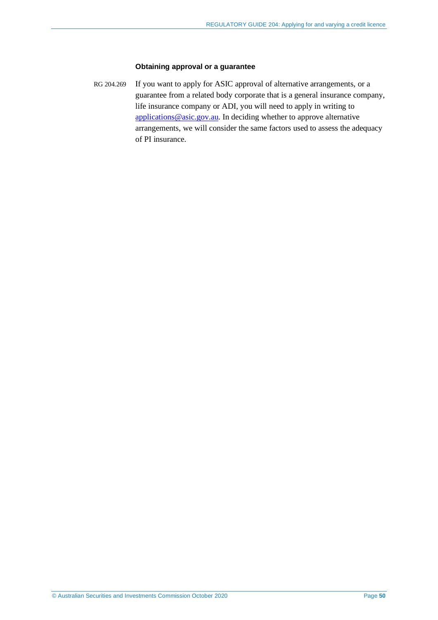### **Obtaining approval or a guarantee**

RG 204.269 If you want to apply for ASIC approval of alternative arrangements, or a guarantee from a related body corporate that is a general insurance company, life insurance company or ADI, you will need to apply in writing to [applications@asic.gov.au.](mailto:applications@asic.gov.au) In deciding whether to approve alternative arrangements, we will consider the same factors used to assess the adequacy of PI insurance.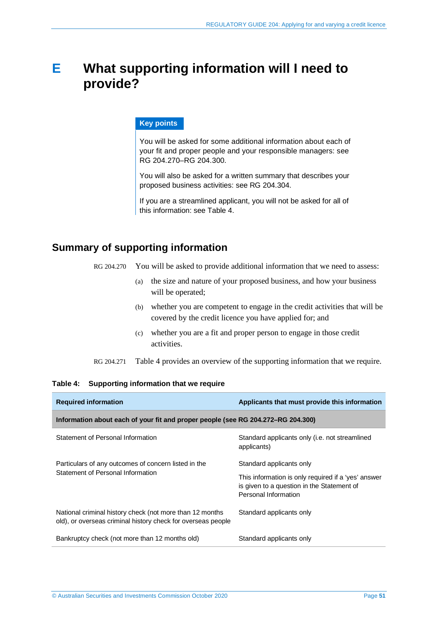# <span id="page-50-0"></span>**E What supporting information will I need to provide?**

### **Key points**

You will be asked for some additional information about each of your fit and proper people and your responsible managers: see RG [204.270–](#page-50-1)RG [204.300.](#page-55-0) 

You will also be asked for a written summary that describes your proposed business activities: see RG [204.304.](#page-56-0)

If you are a streamlined applicant, you will not be asked for all of this information: see [Table 4.](#page-50-2)

# <span id="page-50-1"></span>**Summary of supporting information**

- RG 204.270 You will be asked to provide additional information that we need to assess:
	- (a) the size and nature of your proposed business, and how your business will be operated;
	- (b) whether you are competent to engage in the credit activities that will be covered by the credit licence you have applied for; and
	- (c) whether you are a fit and proper person to engage in those credit activities.

RG 204.271 [Table 4](#page-50-2) provides an overview of the supporting information that we require.

#### <span id="page-50-2"></span>**Table 4: Supporting information that we require**

| <b>Required information</b>                                                                                              | Applicants that must provide this information                                                                             |
|--------------------------------------------------------------------------------------------------------------------------|---------------------------------------------------------------------------------------------------------------------------|
| Information about each of your fit and proper people (see RG 204.272–RG 204.300)                                         |                                                                                                                           |
| Statement of Personal Information                                                                                        | Standard applicants only (i.e. not streamlined<br>applicants)                                                             |
| Particulars of any outcomes of concern listed in the                                                                     | Standard applicants only                                                                                                  |
| Statement of Personal Information                                                                                        | This information is only required if a 'yes' answer<br>is given to a question in the Statement of<br>Personal Information |
| National criminal history check (not more than 12 months<br>old), or overseas criminal history check for overseas people | Standard applicants only                                                                                                  |
| Bankruptcy check (not more than 12 months old)                                                                           | Standard applicants only                                                                                                  |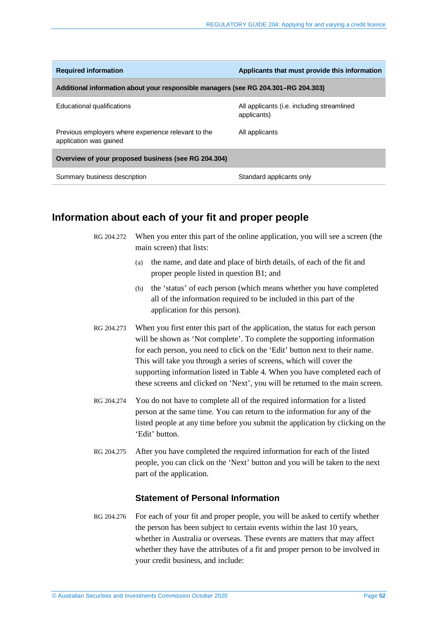| <b>Required information</b>                                                        | Applicants that must provide this information             |
|------------------------------------------------------------------------------------|-----------------------------------------------------------|
| Additional information about your responsible managers (see RG 204.301–RG 204.303) |                                                           |
| Educational qualifications                                                         | All applicants (i.e. including streamlined<br>applicants) |
| Previous employers where experience relevant to the<br>application was gained      | All applicants                                            |
| Overview of your proposed business (see RG 204.304)                                |                                                           |
| Summary business description                                                       | Standard applicants only                                  |

# <span id="page-51-0"></span>**Information about each of your fit and proper people**

| RG 204.272 When you enter this part of the online application, you will see a screen (the |
|-------------------------------------------------------------------------------------------|
| main screen) that lists:                                                                  |

- (a) the name, and date and place of birth details, of each of the fit and proper people listed in question B1; and
- (b) the 'status' of each person (which means whether you have completed all of the information required to be included in this part of the application for this person).
- RG 204.273 When you first enter this part of the application, the status for each person will be shown as 'Not complete'. To complete the supporting information for each person, you need to click on the 'Edit' button next to their name. This will take you through a series of screens, which will cover the supporting information listed i[n Table 4.](#page-50-2) When you have completed each of these screens and clicked on 'Next', you will be returned to the main screen.
- RG 204.274 You do not have to complete all of the required information for a listed person at the same time. You can return to the information for any of the listed people at any time before you submit the application by clicking on the 'Edit' button.
- RG 204.275 After you have completed the required information for each of the listed people, you can click on the 'Next' button and you will be taken to the next part of the application.

### **Statement of Personal Information**

RG 204.276 For each of your fit and proper people, you will be asked to certify whether the person has been subject to certain events within the last 10 years, whether in Australia or overseas. These events are matters that may affect whether they have the attributes of a fit and proper person to be involved in your credit business, and include: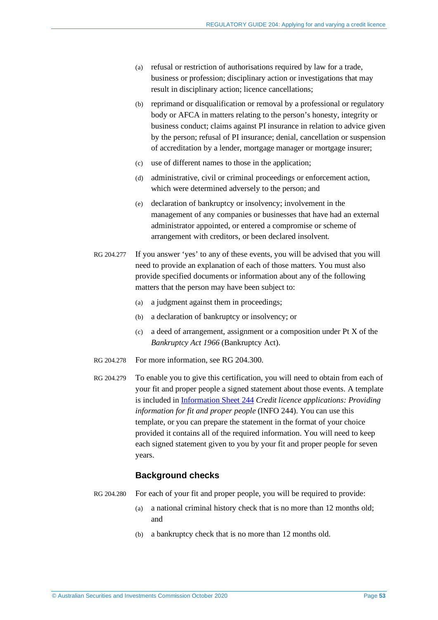- (a) refusal or restriction of authorisations required by law for a trade, business or profession; disciplinary action or investigations that may result in disciplinary action; licence cancellations;
- (b) reprimand or disqualification or removal by a professional or regulatory body or AFCA in matters relating to the person's honesty, integrity or business conduct; claims against PI insurance in relation to advice given by the person; refusal of PI insurance; denial, cancellation or suspension of accreditation by a lender, mortgage manager or mortgage insurer;
- (c) use of different names to those in the application;
- (d) administrative, civil or criminal proceedings or enforcement action, which were determined adversely to the person; and
- (e) declaration of bankruptcy or insolvency; involvement in the management of any companies or businesses that have had an external administrator appointed, or entered a compromise or scheme of arrangement with creditors, or been declared insolvent.
- RG 204.277 If you answer 'yes' to any of these events, you will be advised that you will need to provide an explanation of each of those matters. You must also provide specified documents or information about any of the following matters that the person may have been subject to:
	- (a) a judgment against them in proceedings;
	- (b) a declaration of bankruptcy or insolvency; or
	- (c) a deed of arrangement, assignment or a composition under Pt X of the *Bankruptcy Act 1966* (Bankruptcy Act).
- RG 204.278 For more information, see RG [204.300.](#page-55-0)
- RG 204.279 To enable you to give this certification, you will need to obtain from each of your fit and proper people a signed statement about those events. A template is included in [Information Sheet 244](https://asic.gov.au/for-finance-professionals/credit-licensees/applying-for-and-managing-your-credit-licence/credit-licence-applications-providing-information-for-fit-and-proper-people/) *Credit licence applications: Providing information for fit and proper people* (INFO 244). You can use this template, or you can prepare the statement in the format of your choice provided it contains all of the required information. You will need to keep each signed statement given to you by your fit and proper people for seven years.

### **Background checks**

- RG 204.280 For each of your fit and proper people, you will be required to provide:
	- (a) a national criminal history check that is no more than 12 months old; and
	- (b) a bankruptcy check that is no more than 12 months old.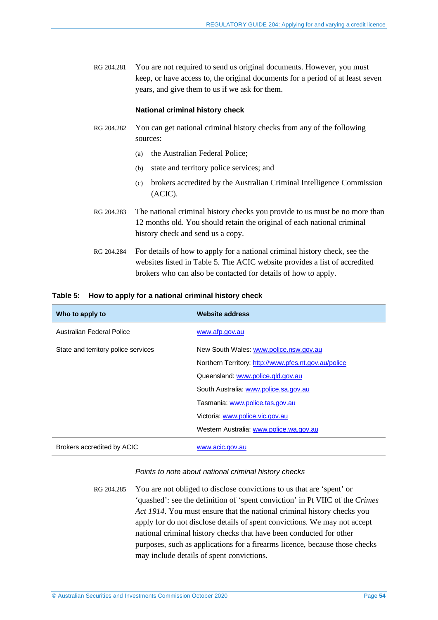RG 204.281 You are not required to send us original documents. However, you must keep, or have access to, the original documents for a period of at least seven years, and give them to us if we ask for them.

#### **National criminal history check**

- RG 204.282 You can get national criminal history checks from any of the following sources:
	- (a) the Australian Federal Police;
	- (b) state and territory police services; and
	- (c) brokers accredited by the Australian Criminal Intelligence Commission (ACIC).
- RG 204.283 The national criminal history checks you provide to us must be no more than 12 months old. You should retain the original of each national criminal history check and send us a copy.
- RG 204.284 For details of how to apply for a national criminal history check, see the websites listed in [Table 5.](#page-53-0) The ACIC website provides a list of accredited brokers who can also be contacted for details of how to apply.

#### <span id="page-53-0"></span>**Table 5: How to apply for a national criminal history check**

| Who to apply to                     | <b>Website address</b>                               |
|-------------------------------------|------------------------------------------------------|
| Australian Federal Police           | www.afp.gov.au                                       |
| State and territory police services | New South Wales: www.police.nsw.gov.au               |
|                                     | Northern Territory: http://www.pfes.nt.gov.au/police |
|                                     | Queensland: www.police.qld.gov.au                    |
|                                     | South Australia: www.police.sa.gov.au                |
|                                     | Tasmania: www.police.tas.gov.au                      |
|                                     | Victoria: www.police.vic.gov.au                      |
|                                     | Western Australia: www.police.wa.gov.au              |
| Brokers accredited by ACIC          | www.acic.gov.au                                      |

#### *Points to note about national criminal history checks*

RG 204.285 You are not obliged to disclose convictions to us that are 'spent' or 'quashed': see the definition of 'spent conviction' in Pt VIIC of the *Crimes Act 1914*. You must ensure that the national criminal history checks you apply for do not disclose details of spent convictions. We may not accept national criminal history checks that have been conducted for other purposes, such as applications for a firearms licence, because those checks may include details of spent convictions.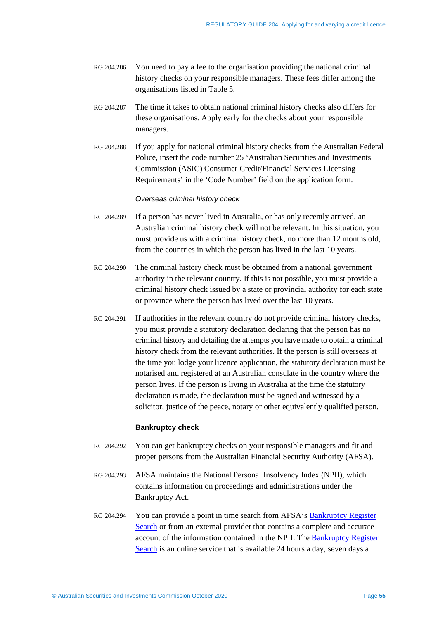- RG 204.286 You need to pay a fee to the organisation providing the national criminal history checks on your responsible managers. These fees differ among the organisations listed in [Table 5.](#page-53-0)
- RG 204.287 The time it takes to obtain national criminal history checks also differs for these organisations. Apply early for the checks about your responsible managers.
- RG 204.288 If you apply for national criminal history checks from the Australian Federal Police, insert the code number 25 'Australian Securities and Investments Commission (ASIC) Consumer Credit/Financial Services Licensing Requirements' in the 'Code Number' field on the application form.

#### *Overseas criminal history check*

- RG 204.289 If a person has never lived in Australia, or has only recently arrived, an Australian criminal history check will not be relevant. In this situation, you must provide us with a criminal history check, no more than 12 months old, from the countries in which the person has lived in the last 10 years.
- RG 204.290 The criminal history check must be obtained from a national government authority in the relevant country. If this is not possible, you must provide a criminal history check issued by a state or provincial authority for each state or province where the person has lived over the last 10 years.
- RG 204.291 If authorities in the relevant country do not provide criminal history checks, you must provide a statutory declaration declaring that the person has no criminal history and detailing the attempts you have made to obtain a criminal history check from the relevant authorities. If the person is still overseas at the time you lodge your licence application, the statutory declaration must be notarised and registered at an Australian consulate in the country where the person lives. If the person is living in Australia at the time the statutory declaration is made, the declaration must be signed and witnessed by a solicitor, justice of the peace, notary or other equivalently qualified person.

#### **Bankruptcy check**

- RG 204.292 You can get bankruptcy checks on your responsible managers and fit and proper persons from the Australian Financial Security Authority (AFSA).
- RG 204.293 AFSA maintains the National Personal Insolvency Index (NPII), which contains information on proceedings and administrations under the Bankruptcy Act.
- RG 204.294 You can provide a point in time search from AFSA's [Bankruptcy Register](https://www.afsa.gov.au/online-services/bankrupty-register-search)  [Search](https://www.afsa.gov.au/online-services/bankrupty-register-search) or from an external provider that contains a complete and accurate account of the information contained in the NPII. The [Bankruptcy Register](https://www.afsa.gov.au/online-services/bankrupty-register-search)  [Search](https://www.afsa.gov.au/online-services/bankrupty-register-search) is an online service that is available 24 hours a day, seven days a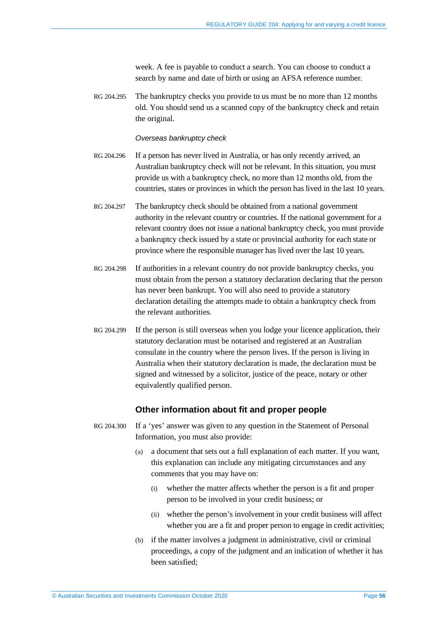week. A fee is payable to conduct a search. You can choose to conduct a search by name and date of birth or using an AFSA reference number.

RG 204.295 The bankruptcy checks you provide to us must be no more than 12 months old. You should send us a scanned copy of the bankruptcy check and retain the original.

#### *Overseas bankruptcy check*

- RG 204.296 If a person has never lived in Australia, or has only recently arrived, an Australian bankruptcy check will not be relevant. In this situation, you must provide us with a bankruptcy check, no more than 12 months old, from the countries, states or provinces in which the person has lived in the last 10 years.
- RG 204.297 The bankruptcy check should be obtained from a national government authority in the relevant country or countries. If the national government for a relevant country does not issue a national bankruptcy check, you must provide a bankruptcy check issued by a state or provincial authority for each state or province where the responsible manager has lived over the last 10 years.
- RG 204.298 If authorities in a relevant country do not provide bankruptcy checks, you must obtain from the person a statutory declaration declaring that the person has never been bankrupt. You will also need to provide a statutory declaration detailing the attempts made to obtain a bankruptcy check from the relevant authorities.
- RG 204.299 If the person is still overseas when you lodge your licence application, their statutory declaration must be notarised and registered at an Australian consulate in the country where the person lives. If the person is living in Australia when their statutory declaration is made, the declaration must be signed and witnessed by a solicitor, justice of the peace, notary or other equivalently qualified person.

### **Other information about fit and proper people**

- <span id="page-55-0"></span>RG 204.300 If a 'yes' answer was given to any question in the Statement of Personal Information, you must also provide:
	- (a) a document that sets out a full explanation of each matter. If you want, this explanation can include any mitigating circumstances and any comments that you may have on:
		- (i) whether the matter affects whether the person is a fit and proper person to be involved in your credit business; or
		- (ii) whether the person's involvement in your credit business will affect whether you are a fit and proper person to engage in credit activities;
	- (b) if the matter involves a judgment in administrative, civil or criminal proceedings, a copy of the judgment and an indication of whether it has been satisfied;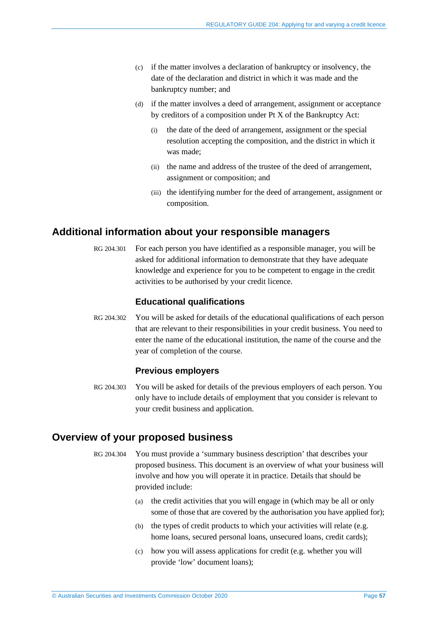- (c) if the matter involves a declaration of bankruptcy or insolvency, the date of the declaration and district in which it was made and the bankruptcy number; and
- (d) if the matter involves a deed of arrangement, assignment or acceptance by creditors of a composition under Pt X of the Bankruptcy Act:
	- (i) the date of the deed of arrangement, assignment or the special resolution accepting the composition, and the district in which it was made;
	- (ii) the name and address of the trustee of the deed of arrangement, assignment or composition; and
	- (iii) the identifying number for the deed of arrangement, assignment or composition.

# <span id="page-56-1"></span>**Additional information about your responsible managers**

RG 204.301 For each person you have identified as a responsible manager, you will be asked for additional information to demonstrate that they have adequate knowledge and experience for you to be competent to engage in the credit activities to be authorised by your credit licence.

# **Educational qualifications**

RG 204.302 You will be asked for details of the educational qualifications of each person that are relevant to their responsibilities in your credit business. You need to enter the name of the educational institution, the name of the course and the year of completion of the course.

### **Previous employers**

<span id="page-56-2"></span>RG 204.303 You will be asked for details of the previous employers of each person. You only have to include details of employment that you consider is relevant to your credit business and application.

# **Overview of your proposed business**

- <span id="page-56-0"></span>RG 204.304 You must provide a 'summary business description' that describes your proposed business. This document is an overview of what your business will involve and how you will operate it in practice. Details that should be provided include:
	- (a) the credit activities that you will engage in (which may be all or only some of those that are covered by the authorisation you have applied for);
	- (b) the types of credit products to which your activities will relate (e.g. home loans, secured personal loans, unsecured loans, credit cards);
	- (c) how you will assess applications for credit (e.g. whether you will provide 'low' document loans);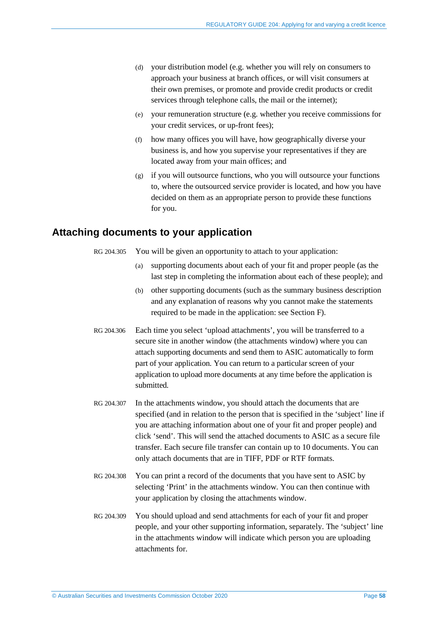- (d) your distribution model (e.g. whether you will rely on consumers to approach your business at branch offices, or will visit consumers at their own premises, or promote and provide credit products or credit services through telephone calls, the mail or the internet);
- (e) your remuneration structure (e.g. whether you receive commissions for your credit services, or up-front fees);
- (f) how many offices you will have, how geographically diverse your business is, and how you supervise your representatives if they are located away from your main offices; and
- (g) if you will outsource functions, who you will outsource your functions to, where the outsourced service provider is located, and how you have decided on them as an appropriate person to provide these functions for you.

# **Attaching documents to your application**

RG 204.305 You will be given an opportunity to attach to your application:

- (a) supporting documents about each of your fit and proper people (as the last step in completing the information about each of these people); and
- (b) other supporting documents (such as the summary business description and any explanation of reasons why you cannot make the statements required to be made in the application: see Section [F\)](#page-58-0).
- RG 204.306 Each time you select 'upload attachments', you will be transferred to a secure site in another window (the attachments window) where you can attach supporting documents and send them to ASIC automatically to form part of your application. You can return to a particular screen of your application to upload more documents at any time before the application is submitted.
- RG 204.307 In the attachments window, you should attach the documents that are specified (and in relation to the person that is specified in the 'subject' line if you are attaching information about one of your fit and proper people) and click 'send'. This will send the attached documents to ASIC as a secure file transfer. Each secure file transfer can contain up to 10 documents. You can only attach documents that are in TIFF, PDF or RTF formats.
- RG 204.308 You can print a record of the documents that you have sent to ASIC by selecting 'Print' in the attachments window. You can then continue with your application by closing the attachments window.
- RG 204.309 You should upload and send attachments for each of your fit and proper people, and your other supporting information, separately. The 'subject' line in the attachments window will indicate which person you are uploading attachments for.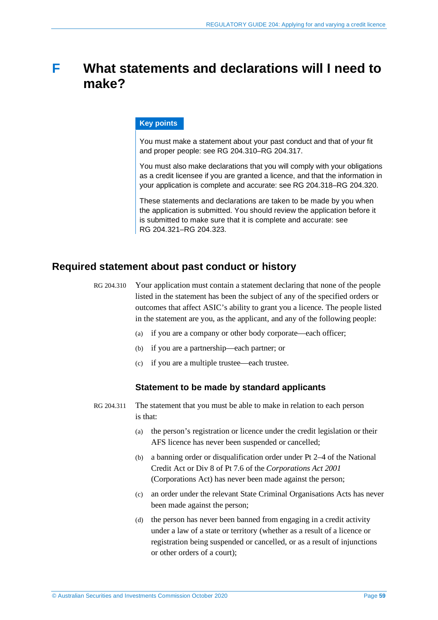# <span id="page-58-0"></span>**F What statements and declarations will I need to make?**

### **Key points**

You must make a statement about your past conduct and that of your fit and proper people: see RG [204.310–](#page-58-1)RG [204.317.](#page-60-0)

You must also make declarations that you will comply with your obligations as a credit licensee if you are granted a licence, and that the information in your application is complete and accurate: see RG [204.318–](#page-60-1)RG [204.320.](#page-60-2)

These statements and declarations are taken to be made by you when the application is submitted. You should review the application before it is submitted to make sure that it is complete and accurate: see RG [204.321–](#page-61-0)RG [204.323.](#page-61-1)

# <span id="page-58-1"></span>**Required statement about past conduct or history**

- RG 204.310 Your application must contain a statement declaring that none of the people listed in the statement has been the subject of any of the specified orders or outcomes that affect ASIC's ability to grant you a licence. The people listed in the statement are you, as the applicant, and any of the following people:
	- (a) if you are a company or other body corporate—each officer;
	- (b) if you are a partnership—each partner; or
	- (c) if you are a multiple trustee—each trustee.

### **Statement to be made by standard applicants**

- RG 204.311 The statement that you must be able to make in relation to each person is that:
	- (a) the person's registration or licence under the credit legislation or their AFS licence has never been suspended or cancelled;
	- (b) a banning order or disqualification order under Pt 2–4 of the National Credit Act or Div 8 of Pt 7.6 of the *Corporations Act 2001* (Corporations Act) has never been made against the person;
	- (c) an order under the relevant State Criminal Organisations Acts has never been made against the person;
	- (d) the person has never been banned from engaging in a credit activity under a law of a state or territory (whether as a result of a licence or registration being suspended or cancelled, or as a result of injunctions or other orders of a court);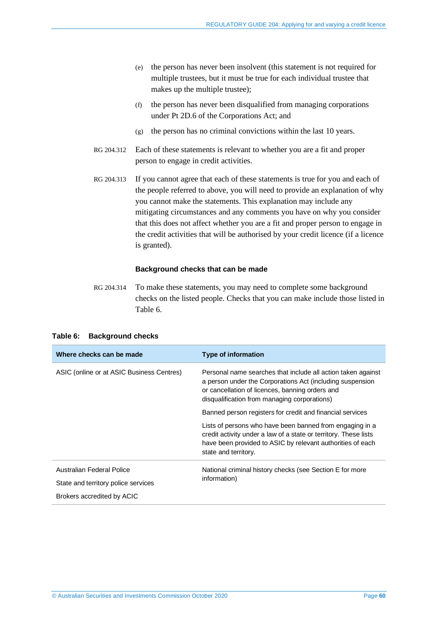- (e) the person has never been insolvent (this statement is not required for multiple trustees, but it must be true for each individual trustee that makes up the multiple trustee);
- (f) the person has never been disqualified from managing corporations under Pt 2D.6 of the Corporations Act; and
- (g) the person has no criminal convictions within the last 10 years.
- RG 204.312 Each of these statements is relevant to whether you are a fit and proper person to engage in credit activities.
- RG 204.313 If you cannot agree that each of these statements is true for you and each of the people referred to above, you will need to provide an explanation of why you cannot make the statements. This explanation may include any mitigating circumstances and any comments you have on why you consider that this does not affect whether you are a fit and proper person to engage in the credit activities that will be authorised by your credit licence (if a licence is granted).

#### **Background checks that can be made**

RG 204.314 To make these statements, you may need to complete some background checks on the listed people. Checks that you can make include those listed in [Table 6.](#page-59-0)

<span id="page-59-0"></span>

|  | Table 6: Background checks |  |
|--|----------------------------|--|
|  |                            |  |

| Where checks can be made                  | <b>Type of information</b>                                                                                                                                                                                                   |  |
|-------------------------------------------|------------------------------------------------------------------------------------------------------------------------------------------------------------------------------------------------------------------------------|--|
| ASIC (online or at ASIC Business Centres) | Personal name searches that include all action taken against<br>a person under the Corporations Act (including suspension<br>or cancellation of licences, banning orders and<br>disqualification from managing corporations) |  |
|                                           | Banned person registers for credit and financial services                                                                                                                                                                    |  |
|                                           | Lists of persons who have been banned from engaging in a<br>credit activity under a law of a state or territory. These lists<br>have been provided to ASIC by relevant authorities of each<br>state and territory.           |  |
| Australian Federal Police                 | National criminal history checks (see Section E for more                                                                                                                                                                     |  |
| State and territory police services       | information)                                                                                                                                                                                                                 |  |
| Brokers accredited by ACIC                |                                                                                                                                                                                                                              |  |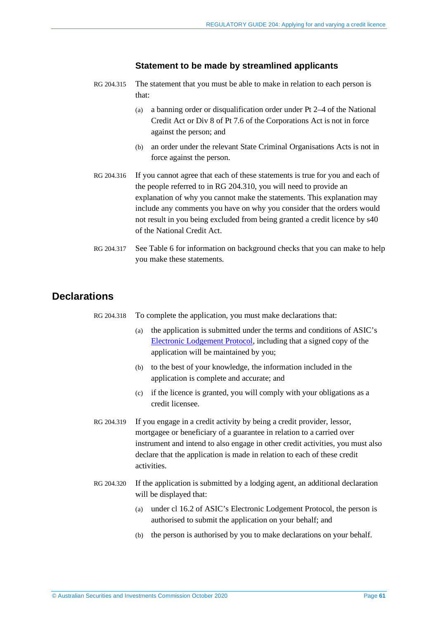### **Statement to be made by streamlined applicants**

- RG 204.315 The statement that you must be able to make in relation to each person is that:
	- (a) a banning order or disqualification order under Pt 2–4 of the National Credit Act or Div 8 of Pt 7.6 of the Corporations Act is not in force against the person; and
	- (b) an order under the relevant State Criminal Organisations Acts is not in force against the person.
- RG 204.316 If you cannot agree that each of these statements is true for you and each of the people referred to in RG [204.310,](#page-58-1) you will need to provide an explanation of why you cannot make the statements. This explanation may include any comments you have on why you consider that the orders would not result in you being excluded from being granted a credit licence by s40 of the National Credit Act.
- <span id="page-60-0"></span>RG 204.317 See [Table 6](#page-59-0) for information on background checks that you can make to help you make these statements.

# <span id="page-60-1"></span>**Declarations**

|  |  | RG 204.318 To complete the application, you must make declarations that: |
|--|--|--------------------------------------------------------------------------|
|  |  |                                                                          |

- (a) the application is submitted under the terms and conditions of ASIC's [Electronic Lodgement Protocol,](https://asic.gov.au/online-services/electronic-lodgement-protocol/) including that a signed copy of the application will be maintained by you;
- (b) to the best of your knowledge, the information included in the application is complete and accurate; and
- (c) if the licence is granted, you will comply with your obligations as a credit licensee.
- RG 204.319 If you engage in a credit activity by being a credit provider, lessor, mortgagee or beneficiary of a guarantee in relation to a carried over instrument and intend to also engage in other credit activities, you must also declare that the application is made in relation to each of these credit activities.
- <span id="page-60-2"></span>RG 204.320 If the application is submitted by a lodging agent, an additional declaration will be displayed that:
	- (a) under cl 16.2 of ASIC's Electronic Lodgement Protocol, the person is authorised to submit the application on your behalf; and
	- (b) the person is authorised by you to make declarations on your behalf.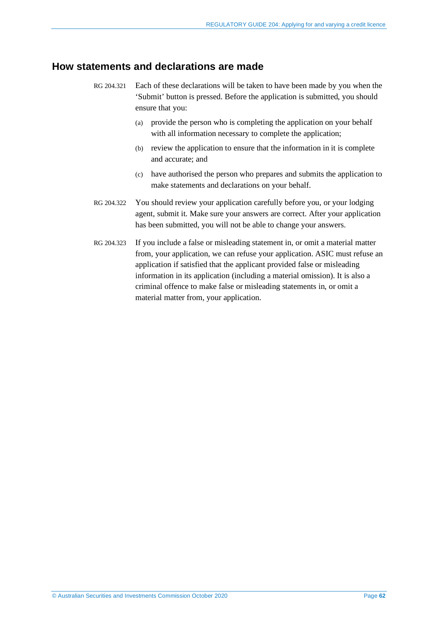# <span id="page-61-0"></span>**How statements and declarations are made**

- RG 204.321 Each of these declarations will be taken to have been made by you when the 'Submit' button is pressed. Before the application is submitted, you should ensure that you:
	- (a) provide the person who is completing the application on your behalf with all information necessary to complete the application;
	- (b) review the application to ensure that the information in it is complete and accurate; and
	- (c) have authorised the person who prepares and submits the application to make statements and declarations on your behalf.
- RG 204.322 You should review your application carefully before you, or your lodging agent, submit it. Make sure your answers are correct. After your application has been submitted, you will not be able to change your answers.
- <span id="page-61-1"></span>RG 204.323 If you include a false or misleading statement in, or omit a material matter from, your application, we can refuse your application. ASIC must refuse an application if satisfied that the applicant provided false or misleading information in its application (including a material omission). It is also a criminal offence to make false or misleading statements in, or omit a material matter from, your application.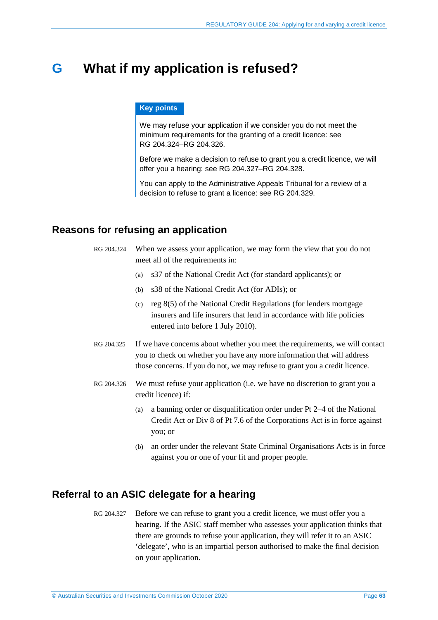# **G What if my application is refused?**

### **Key points**

We may refuse your application if we consider you do not meet the minimum requirements for the granting of a credit licence: see RG [204.324–](#page-62-0)RG [204.326.](#page-62-1)

Before we make a decision to refuse to grant you a credit licence, we will offer you a hearing: see RG [204.327–](#page-62-2)RG [204.328.](#page-63-0)

You can apply to the Administrative Appeals Tribunal for a review of a decision to refuse to grant a licence: see RG [204.329.](#page-63-1)

# <span id="page-62-0"></span>**Reasons for refusing an application**

- RG 204.324 When we assess your application, we may form the view that you do not meet all of the requirements in:
	- (a) s37 of the National Credit Act (for standard applicants); or
	- (b) s38 of the National Credit Act (for ADIs); or
	- (c) reg 8(5) of the National Credit Regulations (for lenders mortgage insurers and life insurers that lend in accordance with life policies entered into before 1 July 2010).
- RG 204.325 If we have concerns about whether you meet the requirements, we will contact you to check on whether you have any more information that will address those concerns. If you do not, we may refuse to grant you a credit licence.
- <span id="page-62-1"></span>RG 204.326 We must refuse your application (i.e. we have no discretion to grant you a credit licence) if:
	- (a) a banning order or disqualification order under Pt 2–4 of the National Credit Act or Div 8 of Pt 7.6 of the Corporations Act is in force against you; or
	- (b) an order under the relevant State Criminal Organisations Acts is in force against you or one of your fit and proper people.

# <span id="page-62-2"></span>**Referral to an ASIC delegate for a hearing**

RG 204.327 Before we can refuse to grant you a credit licence, we must offer you a hearing. If the ASIC staff member who assesses your application thinks that there are grounds to refuse your application, they will refer it to an ASIC 'delegate', who is an impartial person authorised to make the final decision on your application.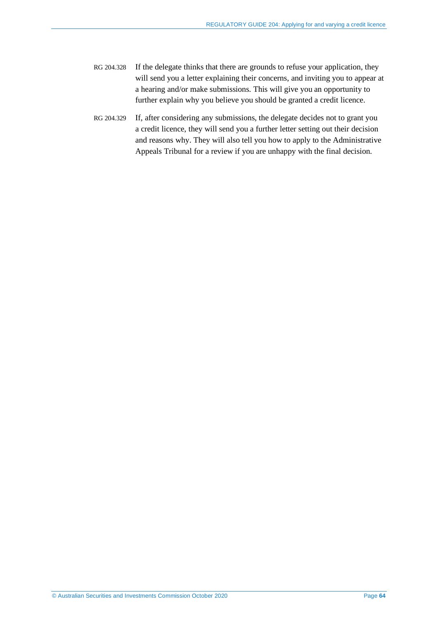- <span id="page-63-0"></span>RG 204.328 If the delegate thinks that there are grounds to refuse your application, they will send you a letter explaining their concerns, and inviting you to appear at a hearing and/or make submissions. This will give you an opportunity to further explain why you believe you should be granted a credit licence.
- <span id="page-63-1"></span>RG 204.329 If, after considering any submissions, the delegate decides not to grant you a credit licence, they will send you a further letter setting out their decision and reasons why. They will also tell you how to apply to the Administrative Appeals Tribunal for a review if you are unhappy with the final decision.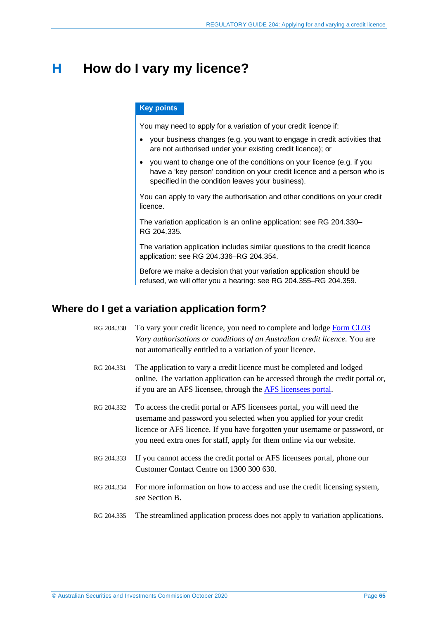# <span id="page-64-0"></span>**H How do I vary my licence?**

### **Key points**

You may need to apply for a variation of your credit licence if:

- your business changes (e.g. you want to engage in credit activities that are not authorised under your existing credit licence); or
- you want to change one of the conditions on your licence (e.g. if you have a 'key person' condition on your credit licence and a person who is specified in the condition leaves your business).

You can apply to vary the authorisation and other conditions on your credit licence.

The variation application is an online application: see RG [204.330–](#page-64-1) RG [204.335.](#page-64-2)

The variation application includes similar questions to the credit licence application: see RG [204.336–](#page-65-0)RG [204.354.](#page-67-0)

Before we make a decision that your variation application should be refused, we will offer you a hearing: see RG [204.355–](#page-67-1)RG [204.359.](#page-68-0)

# <span id="page-64-1"></span>**Where do I get a variation application form?**

- RG 204.330 To vary your credit licence, you need to complete and lodge [Form](https://asic.gov.au/regulatory-resources/forms/forms-folder/cl03-vary-authorisations-or-conditions-of-an-australian-credit-licence/) CL03 *Vary authorisations or conditions of an Australian credit licence*. You are not automatically entitled to a variation of your licence.
- RG 204.331 The application to vary a credit licence must be completed and lodged online. The variation application can be accessed through the credit portal or, if you are an AFS licensee, through the [AFS licensees portal.](https://asic.gov.au/for-finance-professionals/afs-licensees/changing-details-and-lodging-afs-forms/afs-licensees-portal/)
- RG 204.332 To access the credit portal or AFS licensees portal, you will need the username and password you selected when you applied for your credit licence or AFS licence. If you have forgotten your username or password, or you need extra ones for staff, apply for them online via our website.
- RG 204.333 If you cannot access the credit portal or AFS licensees portal, phone our Customer Contact Centre on 1300 300 630.
- RG 204.334 For more information on how to access and use the credit licensing system, see Section [B.](#page-11-0)
- <span id="page-64-2"></span>RG 204.335 The streamlined application process does not apply to variation applications.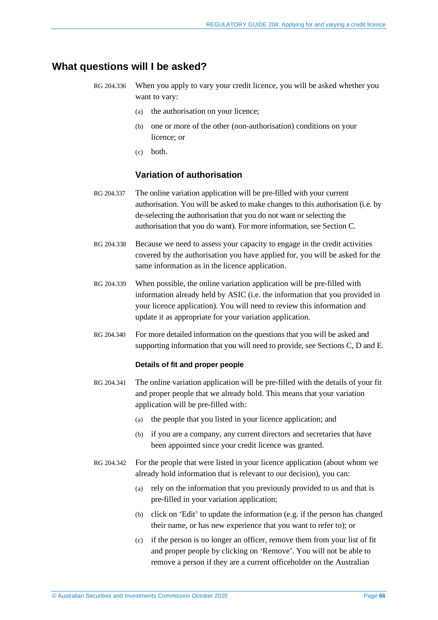# <span id="page-65-0"></span>**What questions will I be asked?**

- RG 204.336 When you apply to vary your credit licence, you will be asked whether you want to vary:
	- (a) the authorisation on your licence;
	- (b) one or more of the other (non-authorisation) conditions on your licence; or
	- (c) both.

## **Variation of authorisation**

- RG 204.337 The online variation application will be pre-filled with your current authorisation. You will be asked to make changes to this authorisation (i.e. by de-selecting the authorisation that you do not want or selecting the authorisation that you do want). For more information, see Section [C.](#page-17-0)
- RG 204.338 Because we need to assess your capacity to engage in the credit activities covered by the authorisation you have applied for, you will be asked for the same information as in the licence application.
- RG 204.339 When possible, the online variation application will be pre-filled with information already held by ASIC (i.e. the information that you provided in your licence application). You will need to review this information and update it as appropriate for your variation application.
- RG 204.340 For more detailed information on the questions that you will be asked and supporting information that you will need to provide, see Sections [C,](#page-17-0) [D](#page-33-0) and [E.](#page-50-0)

#### **Details of fit and proper people**

- RG 204.341 The online variation application will be pre-filled with the details of your fit and proper people that we already hold. This means that your variation application will be pre-filled with:
	- (a) the people that you listed in your licence application; and
	- (b) if you are a company, any current directors and secretaries that have been appointed since your credit licence was granted.
- RG 204.342 For the people that were listed in your licence application (about whom we already hold information that is relevant to our decision), you can:
	- (a) rely on the information that you previously provided to us and that is pre-filled in your variation application;
	- (b) click on 'Edit' to update the information (e.g. if the person has changed their name, or has new experience that you want to refer to); or
	- (c) if the person is no longer an officer, remove them from your list of fit and proper people by clicking on 'Remove'. You will not be able to remove a person if they are a current officeholder on the Australian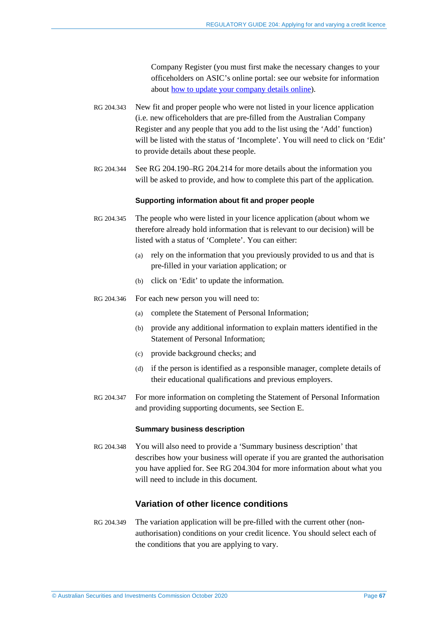Company Register (you must first make the necessary changes to your officeholders on ASIC's online portal: see our website for information about [how to update your company details online\)](https://asic.gov.au/for-business/changes-to-your-company/).

- RG 204.343 New fit and proper people who were not listed in your licence application (i.e. new officeholders that are pre-filled from the Australian Company Register and any people that you add to the list using the 'Add' function) will be listed with the status of 'Incomplete'. You will need to click on 'Edit' to provide details about these people.
- RG 204.344 See RG [204.190–](#page-37-1)RG [204.214](#page-40-0) for more details about the information you will be asked to provide, and how to complete this part of the application.

#### **Supporting information about fit and proper people**

- RG 204.345 The people who were listed in your licence application (about whom we therefore already hold information that is relevant to our decision) will be listed with a status of 'Complete'. You can either:
	- (a) rely on the information that you previously provided to us and that is pre-filled in your variation application; or
	- (b) click on 'Edit' to update the information.
- RG 204.346 For each new person you will need to:
	- (a) complete the Statement of Personal Information;
	- (b) provide any additional information to explain matters identified in the Statement of Personal Information;
	- (c) provide background checks; and
	- (d) if the person is identified as a responsible manager, complete details of their educational qualifications and previous employers.
- RG 204.347 For more information on completing the Statement of Personal Information and providing supporting documents, see Section [E.](#page-50-0)

#### **Summary business description**

RG 204.348 You will also need to provide a 'Summary business description' that describes how your business will operate if you are granted the authorisation you have applied for. See RG [204.304](#page-56-0) for more information about what you will need to include in this document.

# **Variation of other licence conditions**

RG 204.349 The variation application will be pre-filled with the current other (nonauthorisation) conditions on your credit licence. You should select each of the conditions that you are applying to vary.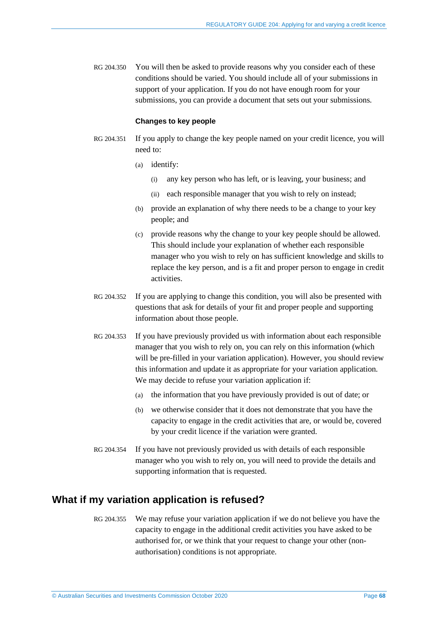RG 204.350 You will then be asked to provide reasons why you consider each of these conditions should be varied. You should include all of your submissions in support of your application. If you do not have enough room for your submissions, you can provide a document that sets out your submissions.

#### **Changes to key people**

- RG 204.351 If you apply to change the key people named on your credit licence, you will need to:
	- (a) identify:
		- (i) any key person who has left, or is leaving, your business; and
		- (ii) each responsible manager that you wish to rely on instead;
	- (b) provide an explanation of why there needs to be a change to your key people; and
	- (c) provide reasons why the change to your key people should be allowed. This should include your explanation of whether each responsible manager who you wish to rely on has sufficient knowledge and skills to replace the key person, and is a fit and proper person to engage in credit activities.
- RG 204.352 If you are applying to change this condition, you will also be presented with questions that ask for details of your fit and proper people and supporting information about those people.
- RG 204.353 If you have previously provided us with information about each responsible manager that you wish to rely on, you can rely on this information (which will be pre-filled in your variation application). However, you should review this information and update it as appropriate for your variation application. We may decide to refuse your variation application if:
	- (a) the information that you have previously provided is out of date; or
	- (b) we otherwise consider that it does not demonstrate that you have the capacity to engage in the credit activities that are, or would be, covered by your credit licence if the variation were granted.
- <span id="page-67-0"></span>RG 204.354 If you have not previously provided us with details of each responsible manager who you wish to rely on, you will need to provide the details and supporting information that is requested.

# <span id="page-67-1"></span>**What if my variation application is refused?**

RG 204.355 We may refuse your variation application if we do not believe you have the capacity to engage in the additional credit activities you have asked to be authorised for, or we think that your request to change your other (nonauthorisation) conditions is not appropriate.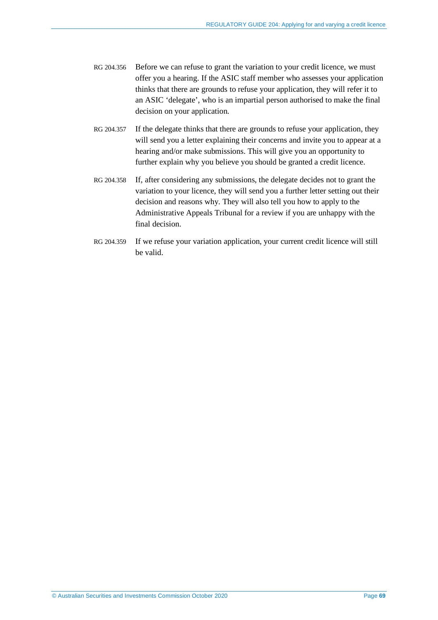- RG 204.356 Before we can refuse to grant the variation to your credit licence, we must offer you a hearing. If the ASIC staff member who assesses your application thinks that there are grounds to refuse your application, they will refer it to an ASIC 'delegate', who is an impartial person authorised to make the final decision on your application.
- RG 204.357 If the delegate thinks that there are grounds to refuse your application, they will send you a letter explaining their concerns and invite you to appear at a hearing and/or make submissions. This will give you an opportunity to further explain why you believe you should be granted a credit licence.
- RG 204.358 If, after considering any submissions, the delegate decides not to grant the variation to your licence, they will send you a further letter setting out their decision and reasons why. They will also tell you how to apply to the Administrative Appeals Tribunal for a review if you are unhappy with the final decision.
- <span id="page-68-0"></span>RG 204.359 If we refuse your variation application, your current credit licence will still be valid.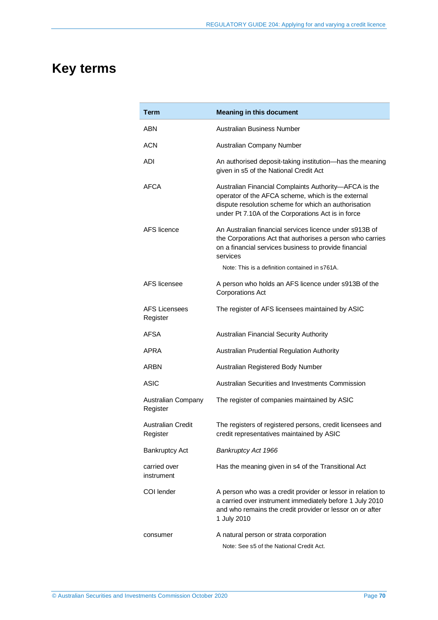# **Key terms**

| Term                                 | <b>Meaning in this document</b>                                                                                                                                                                                           |
|--------------------------------------|---------------------------------------------------------------------------------------------------------------------------------------------------------------------------------------------------------------------------|
| ABN                                  | Australian Business Number                                                                                                                                                                                                |
| ACN                                  | Australian Company Number                                                                                                                                                                                                 |
| <b>ADI</b>                           | An authorised deposit-taking institution-has the meaning<br>given in s5 of the National Credit Act                                                                                                                        |
| AFCA                                 | Australian Financial Complaints Authority-AFCA is the<br>operator of the AFCA scheme, which is the external<br>dispute resolution scheme for which an authorisation<br>under Pt 7.10A of the Corporations Act is in force |
| AFS licence                          | An Australian financial services licence under s913B of<br>the Corporations Act that authorises a person who carries<br>on a financial services business to provide financial<br>services                                 |
|                                      | Note: This is a definition contained in s761A.                                                                                                                                                                            |
| AFS licensee                         | A person who holds an AFS licence under s913B of the<br><b>Corporations Act</b>                                                                                                                                           |
| <b>AFS Licensees</b><br>Register     | The register of AFS licensees maintained by ASIC                                                                                                                                                                          |
| <b>AFSA</b>                          | Australian Financial Security Authority                                                                                                                                                                                   |
| APRA                                 | Australian Prudential Regulation Authority                                                                                                                                                                                |
| ARBN                                 | Australian Registered Body Number                                                                                                                                                                                         |
| <b>ASIC</b>                          | Australian Securities and Investments Commission                                                                                                                                                                          |
| Australian Company<br>Register       | The register of companies maintained by ASIC                                                                                                                                                                              |
| <b>Australian Credit</b><br>Register | The registers of registered persons, credit licensees and<br>credit representatives maintained by ASIC                                                                                                                    |
| <b>Bankruptcy Act</b>                | Bankruptcy Act 1966                                                                                                                                                                                                       |
| carried over<br>instrument           | Has the meaning given in s4 of the Transitional Act                                                                                                                                                                       |
| COI lender                           | A person who was a credit provider or lessor in relation to<br>a carried over instrument immediately before 1 July 2010<br>and who remains the credit provider or lessor on or after<br>1 July 2010                       |
| consumer                             | A natural person or strata corporation<br>Note: See s5 of the National Credit Act.                                                                                                                                        |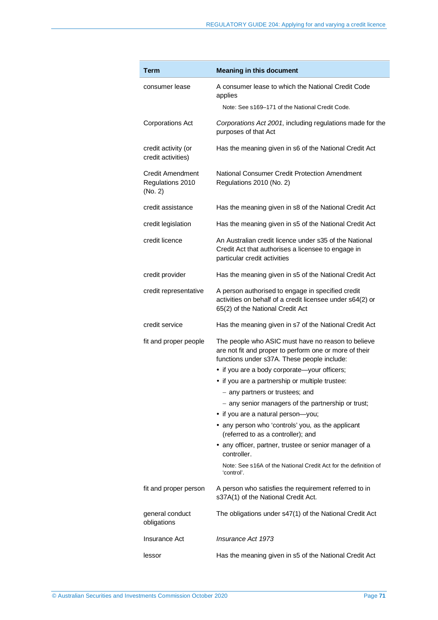| <b>Term</b>                                            | <b>Meaning in this document</b>                                                                                                                             |  |  |
|--------------------------------------------------------|-------------------------------------------------------------------------------------------------------------------------------------------------------------|--|--|
| consumer lease                                         | A consumer lease to which the National Credit Code<br>applies<br>Note: See s169–171 of the National Credit Code.                                            |  |  |
| <b>Corporations Act</b>                                | Corporations Act 2001, including regulations made for the<br>purposes of that Act                                                                           |  |  |
| credit activity (or<br>credit activities)              | Has the meaning given in s6 of the National Credit Act                                                                                                      |  |  |
| <b>Credit Amendment</b><br>Regulations 2010<br>(No. 2) | National Consumer Credit Protection Amendment<br>Regulations 2010 (No. 2)                                                                                   |  |  |
| credit assistance                                      | Has the meaning given in s8 of the National Credit Act                                                                                                      |  |  |
| credit legislation                                     | Has the meaning given in s5 of the National Credit Act                                                                                                      |  |  |
| credit licence                                         | An Australian credit licence under s35 of the National<br>Credit Act that authorises a licensee to engage in<br>particular credit activities                |  |  |
| credit provider                                        | Has the meaning given in s5 of the National Credit Act                                                                                                      |  |  |
| credit representative                                  | A person authorised to engage in specified credit<br>activities on behalf of a credit licensee under s64(2) or<br>65(2) of the National Credit Act          |  |  |
| credit service                                         | Has the meaning given in s7 of the National Credit Act                                                                                                      |  |  |
| fit and proper people                                  | The people who ASIC must have no reason to believe<br>are not fit and proper to perform one or more of their<br>functions under s37A. These people include: |  |  |
|                                                        | • if you are a body corporate-your officers;                                                                                                                |  |  |
|                                                        | • if you are a partnership or multiple trustee:                                                                                                             |  |  |
|                                                        | - any partners or trustees; and<br>- any senior managers of the partnership or trust;                                                                       |  |  |
|                                                        | • if you are a natural person-you;                                                                                                                          |  |  |
|                                                        | • any person who 'controls' you, as the applicant<br>(referred to as a controller); and                                                                     |  |  |
|                                                        | • any officer, partner, trustee or senior manager of a<br>controller.                                                                                       |  |  |
|                                                        | Note: See s16A of the National Credit Act for the definition of<br>'control'.                                                                               |  |  |
| fit and proper person                                  | A person who satisfies the requirement referred to in<br>s37A(1) of the National Credit Act.                                                                |  |  |
| general conduct<br>obligations                         | The obligations under s47(1) of the National Credit Act                                                                                                     |  |  |
| Insurance Act                                          | Insurance Act 1973                                                                                                                                          |  |  |
| lessor                                                 | Has the meaning given in s5 of the National Credit Act                                                                                                      |  |  |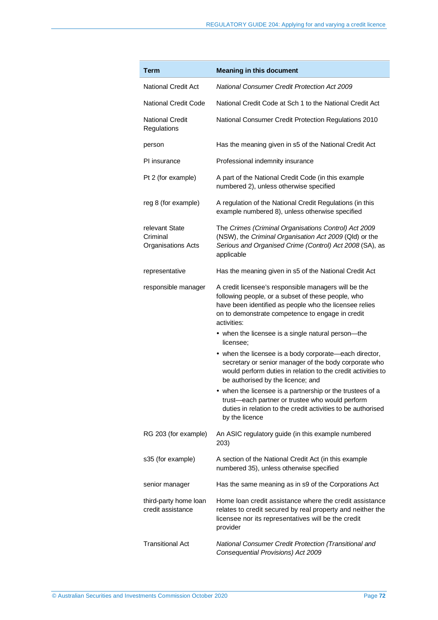| <b>Term</b>                                             | <b>Meaning in this document</b>                                                                                                                                                                                                         |  |  |
|---------------------------------------------------------|-----------------------------------------------------------------------------------------------------------------------------------------------------------------------------------------------------------------------------------------|--|--|
| <b>National Credit Act</b>                              | <b>National Consumer Credit Protection Act 2009</b>                                                                                                                                                                                     |  |  |
| <b>National Credit Code</b>                             | National Credit Code at Sch 1 to the National Credit Act                                                                                                                                                                                |  |  |
| <b>National Credit</b><br>Regulations                   | National Consumer Credit Protection Regulations 2010                                                                                                                                                                                    |  |  |
| person                                                  | Has the meaning given in s5 of the National Credit Act                                                                                                                                                                                  |  |  |
| PI insurance                                            | Professional indemnity insurance                                                                                                                                                                                                        |  |  |
| Pt 2 (for example)                                      | A part of the National Credit Code (in this example<br>numbered 2), unless otherwise specified                                                                                                                                          |  |  |
| reg 8 (for example)                                     | A regulation of the National Credit Regulations (in this<br>example numbered 8), unless otherwise specified                                                                                                                             |  |  |
| relevant State<br>Criminal<br><b>Organisations Acts</b> | The Crimes (Criminal Organisations Control) Act 2009<br>(NSW), the Criminal Organisation Act 2009 (Qld) or the<br>Serious and Organised Crime (Control) Act 2008 (SA), as<br>applicable                                                 |  |  |
| representative                                          | Has the meaning given in s5 of the National Credit Act                                                                                                                                                                                  |  |  |
| responsible manager                                     | A credit licensee's responsible managers will be the<br>following people, or a subset of these people, who<br>have been identified as people who the licensee relies<br>on to demonstrate competence to engage in credit<br>activities: |  |  |
|                                                         | • when the licensee is a single natural person-the<br>licensee:                                                                                                                                                                         |  |  |
|                                                         | • when the licensee is a body corporate—each director,<br>secretary or senior manager of the body corporate who<br>would perform duties in relation to the credit activities to<br>be authorised by the licence; and                    |  |  |
|                                                         | • when the licensee is a partnership or the trustees of a<br>trust-each partner or trustee who would perform<br>duties in relation to the credit activities to be authorised<br>by the licence                                          |  |  |
| RG 203 (for example)                                    | An ASIC regulatory guide (in this example numbered<br>203)                                                                                                                                                                              |  |  |
| s35 (for example)                                       | A section of the National Credit Act (in this example<br>numbered 35), unless otherwise specified                                                                                                                                       |  |  |
| senior manager                                          | Has the same meaning as in s9 of the Corporations Act                                                                                                                                                                                   |  |  |
| third-party home loan<br>credit assistance              | Home loan credit assistance where the credit assistance<br>relates to credit secured by real property and neither the<br>licensee nor its representatives will be the credit<br>provider                                                |  |  |
| <b>Transitional Act</b>                                 | National Consumer Credit Protection (Transitional and<br>Consequential Provisions) Act 2009                                                                                                                                             |  |  |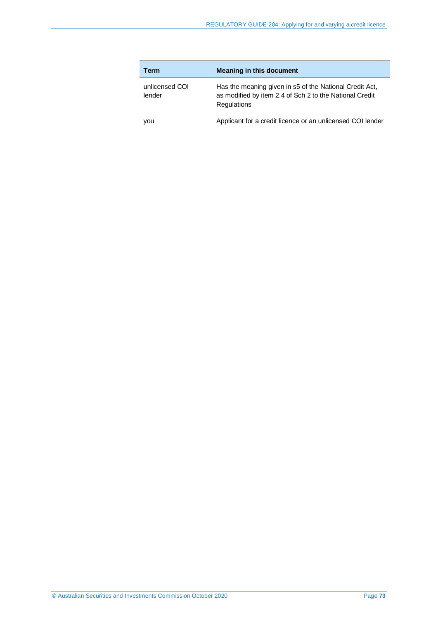| Term                     | <b>Meaning in this document</b>                                                                                                          |
|--------------------------|------------------------------------------------------------------------------------------------------------------------------------------|
| unlicensed COI<br>lender | Has the meaning given in s5 of the National Credit Act,<br>as modified by item 2.4 of Sch 2 to the National Credit<br><b>Regulations</b> |
| you                      | Applicant for a credit licence or an unlicensed COI lender                                                                               |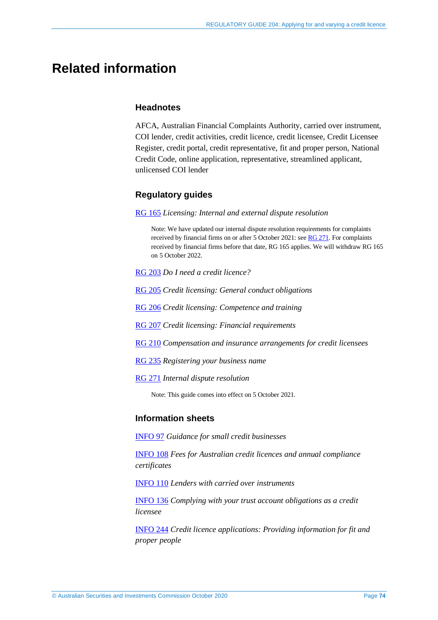# **Related information**

## **Headnotes**

AFCA, Australian Financial Complaints Authority, carried over instrument, COI lender, credit activities, credit licence, credit licensee, Credit Licensee Register, credit portal, credit representative, fit and proper person, National Credit Code, online application, representative, streamlined applicant, unlicensed COI lender

# **Regulatory guides**

#### [RG 165](https://asic.gov.au/regulatory-resources/find-a-document/regulatory-guides/rg-165-licensing-internal-and-external-dispute-resolution/) *Licensing: Internal and external dispute resolution*

Note: We have updated our internal dispute resolution requirements for complaints received by financial firms on or after 5 October 2021: se[e RG 271.](https://asic.gov.au/regulatory-resources/find-a-document/regulatory-guides/rg-271-internal-dispute-resolution/) For complaints received by financial firms before that date, RG 165 applies. We will withdraw RG 165 on 5 October 2022.

- [RG 203](https://asic.gov.au/regulatory-resources/find-a-document/regulatory-guides/rg-203-do-i-need-a-credit-licence/) *Do I need a credit licence?*
- [RG 205](https://asic.gov.au/regulatory-resources/credit/credit-general-conduct-obligations/rg-205-credit-licensing-general-conduct-obligations/) *Credit licensing: General conduct obligations*
- [RG 206](https://asic.gov.au/regulatory-resources/credit/credit-general-conduct-obligations/rg-206-credit-licensing-competence-and-training/) *Credit licensing: Competence and training*
- [RG 207](https://asic.gov.au/regulatory-resources/credit/credit-general-conduct-obligations/rg-207-credit-licensing-financial-requirements/) *Credit licensing: Financial requirements*
- [RG 210](https://asic.gov.au/regulatory-resources/credit/credit-general-conduct-obligations/rg-210-compensation-and-insurance-arrangements-for-credit-licensees/) *Compensation and insurance arrangements for credit licensees*
- [RG 235](https://asic.gov.au/regulatory-resources/find-a-document/regulatory-guides/rg-235-registering-your-business-name/) *Registering your business name*
- [RG 271](https://asic.gov.au/regulatory-resources/find-a-document/regulatory-guides/rg-271-internal-dispute-resolution/) *Internal dispute resolution*

Note: This guide comes into effect on 5 October 2021.

## **Information sheets**

[INFO 97](https://asic.gov.au/for-finance-professionals/credit-licensees/applying-for-and-managing-your-credit-licence/guidance-for-small-credit-businesses/) *Guidance for small credit businesses*

[INFO 108](https://asic.gov.au/for-finance-professionals/credit-licensees/applying-for-and-managing-your-credit-licence/fees-for-australian-credit-licences-and-annual-compliance-certificates/) *Fees for Australian credit licences and annual compliance certificates*

[INFO 110](https://asic.gov.au/for-finance-professionals/credit-licensees/your-ongoing-credit-licence-obligations/lenders-with-carried-over-instruments/) *Lenders with carried over instruments*

[INFO 136](https://asic.gov.au/regulatory-resources/credit/credit-general-conduct-obligations/complying-with-your-trust-account-obligations-as-a-credit-licensee/) *Complying with your trust account obligations as a credit licensee*

[INFO 244](https://asic.gov.au/for-finance-professionals/credit-licensees/applying-for-and-managing-your-credit-licence/credit-licence-applications-providing-information-for-fit-and-proper-people/) *Credit licence applications: Providing information for fit and proper people*